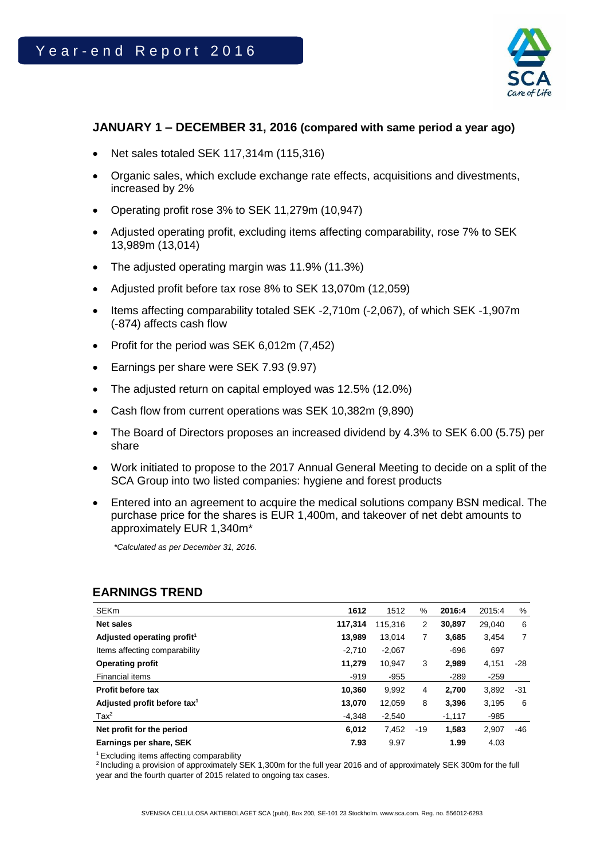

## **JANUARY 1 – DECEMBER 31, 2016 (compared with same period a year ago)**

- Net sales totaled SEK 117,314m (115,316)
- Organic sales, which exclude exchange rate effects, acquisitions and divestments, increased by 2%
- Operating profit rose 3% to SEK 11,279m (10,947)
- Adjusted operating profit, excluding items affecting comparability, rose 7% to SEK 13,989m (13,014)
- The adjusted operating margin was 11.9% (11.3%)
- Adjusted profit before tax rose 8% to SEK 13,070m (12,059)
- Items affecting comparability totaled SEK -2,710m (-2,067), of which SEK -1,907m (-874) affects cash flow
- Profit for the period was SEK  $6,012$ m  $(7,452)$
- Earnings per share were SEK 7.93 (9.97)
- The adjusted return on capital employed was 12.5% (12.0%)
- Cash flow from current operations was SEK 10,382m (9,890)
- The Board of Directors proposes an increased dividend by 4.3% to SEK 6.00 (5.75) per share
- Work initiated to propose to the 2017 Annual General Meeting to decide on a split of the SCA Group into two listed companies: hygiene and forest products
- Entered into an agreement to acquire the medical solutions company BSN medical. The purchase price for the shares is EUR 1,400m, and takeover of net debt amounts to approximately EUR 1,340m\*

*\*Calculated as per December 31, 2016.* 

## **EARNINGS TREND**

| <b>SEKm</b>                             | 1612     | 1512     | %   | 2016:4   | 2015:4 | %   |
|-----------------------------------------|----------|----------|-----|----------|--------|-----|
| Net sales                               | 117.314  | 115.316  | 2   | 30.897   | 29,040 | 6   |
| Adjusted operating profit <sup>1</sup>  | 13.989   | 13,014   | 7   | 3.685    | 3.454  | 7   |
| Items affecting comparability           | $-2,710$ | $-2,067$ |     | $-696$   | 697    |     |
| Operating profit                        | 11.279   | 10.947   | 3   | 2,989    | 4,151  | -28 |
| Financial items                         | $-919$   | $-955$   |     | $-289$   | $-259$ |     |
| Profit before tax                       | 10,360   | 9.992    | 4   | 2,700    | 3.892  | -31 |
| Adjusted profit before tax <sup>1</sup> | 13,070   | 12,059   | 8   | 3,396    | 3,195  | 6   |
| $\text{Tax}^2$                          | $-4.348$ | $-2,540$ |     | $-1,117$ | $-985$ |     |
| Net profit for the period               | 6,012    | 7.452    | -19 | 1,583    | 2,907  | -46 |
| Earnings per share, SEK                 | 7.93     | 9.97     |     | 1.99     | 4.03   |     |

<sup>1</sup> Excluding items affecting comparability

<sup>2</sup> Including a provision of approximately SEK 1,300m for the full year 2016 and of approximately SEK 300m for the full year and the fourth quarter of 2015 related to ongoing tax cases.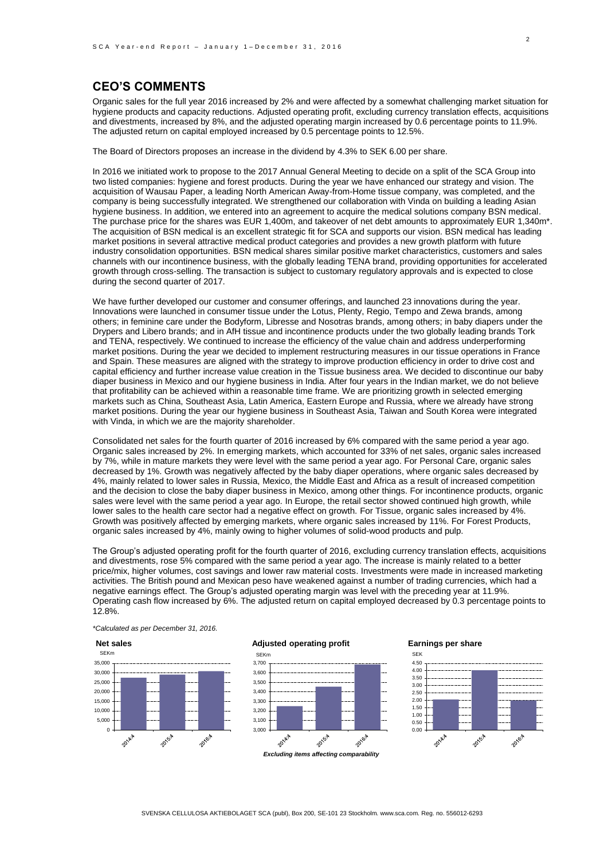### **CEO'S COMMENTS**

Organic sales for the full year 2016 increased by 2% and were affected by a somewhat challenging market situation for hygiene products and capacity reductions. Adjusted operating profit, excluding currency translation effects, acquisitions and divestments, increased by 8%, and the adjusted operating margin increased by 0.6 percentage points to 11.9%. The adjusted return on capital employed increased by 0.5 percentage points to 12.5%.

The Board of Directors proposes an increase in the dividend by 4.3% to SEK 6.00 per share.

In 2016 we initiated work to propose to the 2017 Annual General Meeting to decide on a split of the SCA Group into two listed companies: hygiene and forest products. During the year we have enhanced our strategy and vision. The acquisition of Wausau Paper, a leading North American Away-from-Home tissue company, was completed, and the company is being successfully integrated. We strengthened our collaboration with Vinda on building a leading Asian hygiene business. In addition, we entered into an agreement to acquire the medical solutions company BSN medical. The purchase price for the shares was EUR 1,400m, and takeover of net debt amounts to approximately EUR 1,340m\*. The acquisition of BSN medical is an excellent strategic fit for SCA and supports our vision. BSN medical has leading market positions in several attractive medical product categories and provides a new growth platform with future industry consolidation opportunities. BSN medical shares similar positive market characteristics, customers and sales channels with our incontinence business, with the globally leading TENA brand, providing opportunities for accelerated growth through cross-selling. The transaction is subject to customary regulatory approvals and is expected to close during the second quarter of 2017.

We have further developed our customer and consumer offerings, and launched 23 innovations during the year. Innovations were launched in consumer tissue under the Lotus, Plenty, Regio, Tempo and Zewa brands, among others; in feminine care under the Bodyform, Libresse and Nosotras brands, among others; in baby diapers under the Drypers and Libero brands; and in AfH tissue and incontinence products under the two globally leading brands Tork and TENA, respectively. We continued to increase the efficiency of the value chain and address underperforming market positions. During the year we decided to implement restructuring measures in our tissue operations in France and Spain. These measures are aligned with the strategy to improve production efficiency in order to drive cost and capital efficiency and further increase value creation in the Tissue business area. We decided to discontinue our baby diaper business in Mexico and our hygiene business in India. After four years in the Indian market, we do not believe that profitability can be achieved within a reasonable time frame. We are prioritizing growth in selected emerging markets such as China, Southeast Asia, Latin America, Eastern Europe and Russia, where we already have strong market positions. During the year our hygiene business in Southeast Asia, Taiwan and South Korea were integrated with Vinda, in which we are the majority shareholder.

Consolidated net sales for the fourth quarter of 2016 increased by 6% compared with the same period a year ago. Organic sales increased by 2%. In emerging markets, which accounted for 33% of net sales, organic sales increased by 7%, while in mature markets they were level with the same period a year ago. For Personal Care, organic sales decreased by 1%. Growth was negatively affected by the baby diaper operations, where organic sales decreased by 4%, mainly related to lower sales in Russia, Mexico, the Middle East and Africa as a result of increased competition and the decision to close the baby diaper business in Mexico, among other things. For incontinence products, organic sales were level with the same period a year ago. In Europe, the retail sector showed continued high growth, while lower sales to the health care sector had a negative effect on growth. For Tissue, organic sales increased by 4%. Growth was positively affected by emerging markets, where organic sales increased by 11%. For Forest Products, organic sales increased by 4%, mainly owing to higher volumes of solid-wood products and pulp.

The Group's adjusted operating profit for the fourth quarter of 2016, excluding currency translation effects, acquisitions and divestments, rose 5% compared with the same period a year ago. The increase is mainly related to a better price/mix, higher volumes, cost savings and lower raw material costs. Investments were made in increased marketing activities. The British pound and Mexican peso have weakened against a number of trading currencies, which had a negative earnings effect. The Group's adjusted operating margin was level with the preceding year at 11.9%. Operating cash flow increased by 6%. The adjusted return on capital employed decreased by 0.3 percentage points to 12.8%.



*\*Calculated as per December 31, 2016.*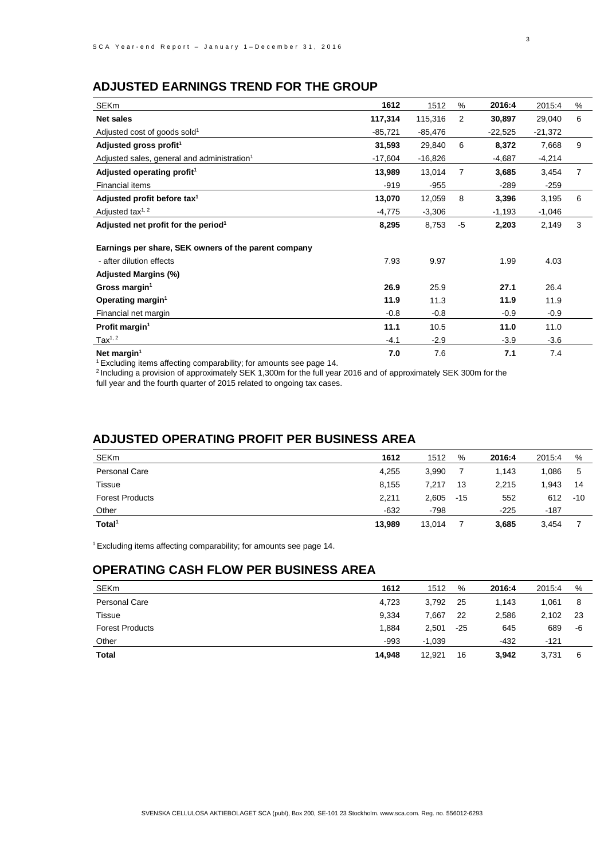## **ADJUSTED EARNINGS TREND FOR THE GROUP**

| <b>SEKm</b>                                             | 1612      | 1512      | %    | 2016:4    | 2015:4    | % |
|---------------------------------------------------------|-----------|-----------|------|-----------|-----------|---|
| Net sales                                               | 117,314   | 115,316   | 2    | 30,897    | 29,040    | 6 |
| Adjusted cost of goods sold <sup>1</sup>                | $-85,721$ | $-85,476$ |      | $-22,525$ | $-21,372$ |   |
| Adjusted gross profit <sup>1</sup>                      | 31,593    | 29,840    | 6    | 8,372     | 7,668     | 9 |
| Adjusted sales, general and administration <sup>1</sup> | $-17,604$ | $-16,826$ |      | $-4,687$  | $-4,214$  |   |
| Adjusted operating profit <sup>1</sup>                  | 13,989    | 13,014    | 7    | 3,685     | 3,454     | 7 |
| Financial items                                         | $-919$    | $-955$    |      | $-289$    | $-259$    |   |
| Adjusted profit before tax <sup>1</sup>                 | 13,070    | 12,059    | 8    | 3,396     | 3,195     | 6 |
| Adjusted tax <sup>1, 2</sup>                            | $-4,775$  | $-3,306$  |      | $-1,193$  | $-1,046$  |   |
| Adjusted net profit for the period <sup>1</sup>         | 8,295     | 8,753     | $-5$ | 2,203     | 2,149     | 3 |
| Earnings per share, SEK owners of the parent company    |           |           |      |           |           |   |
| - after dilution effects                                | 7.93      | 9.97      |      | 1.99      | 4.03      |   |
| Adjusted Margins (%)                                    |           |           |      |           |           |   |
| Gross margin <sup>1</sup>                               | 26.9      | 25.9      |      | 27.1      | 26.4      |   |
| Operating margin <sup>1</sup>                           | 11.9      | 11.3      |      | 11.9      | 11.9      |   |
| Financial net margin                                    | $-0.8$    | $-0.8$    |      | $-0.9$    | $-0.9$    |   |
| Profit margin <sup>1</sup>                              | 11.1      | 10.5      |      | 11.0      | 11.0      |   |
| Tax <sup>1, 2</sup>                                     | $-4.1$    | $-2.9$    |      | $-3.9$    | $-3.6$    |   |
| Net margin <sup>1</sup>                                 | 7.0       | 7.6       |      | 7.1       | 7.4       |   |

 $1$  Excluding items affecting comparability; for amounts see page 14.

<sup>2</sup> Including a provision of approximately SEK 1,300m for the full year 2016 and of approximately SEK 300m for the

full year and the fourth quarter of 2015 related to ongoing tax cases.

## **ADJUSTED OPERATING PROFIT PER BUSINESS AREA**

| <b>SEKm</b>            | 1612   | 1512   | %     | 2016:4 | 2015:4 | %     |
|------------------------|--------|--------|-------|--------|--------|-------|
| Personal Care          | 4,255  | 3,990  |       | 1.143  | 1.086  | 5     |
| Tissue                 | 8,155  | 7.217  | 13    | 2,215  | 1,943  | 14    |
| <b>Forest Products</b> | 2,211  | 2,605  | $-15$ | 552    | 612    | $-10$ |
| Other                  | $-632$ | $-798$ |       | $-225$ | -187   |       |
| Total <sup>1</sup>     | 13,989 | 13,014 |       | 3,685  | 3,454  |       |

<sup>1</sup>Excluding items affecting comparability; for amounts see page 14.

## **OPERATING CASH FLOW PER BUSINESS AREA**

| <b>SEKm</b>            | 1612   | 1512     | %   | 2016:4 | 2015:4 | %  |
|------------------------|--------|----------|-----|--------|--------|----|
| Personal Care          | 4,723  | 3,792    | 25  | 1.143  | 1,061  | 8  |
| Tissue                 | 9,334  | 7,667    | 22  | 2,586  | 2,102  | 23 |
| <b>Forest Products</b> | 1.884  | 2,501    | -25 | 645    | 689    | -6 |
| Other                  | $-993$ | $-1.039$ |     | $-432$ | $-121$ |    |
| Total                  | 14,948 | 12.921   | 16  | 3,942  | 3.731  | 6  |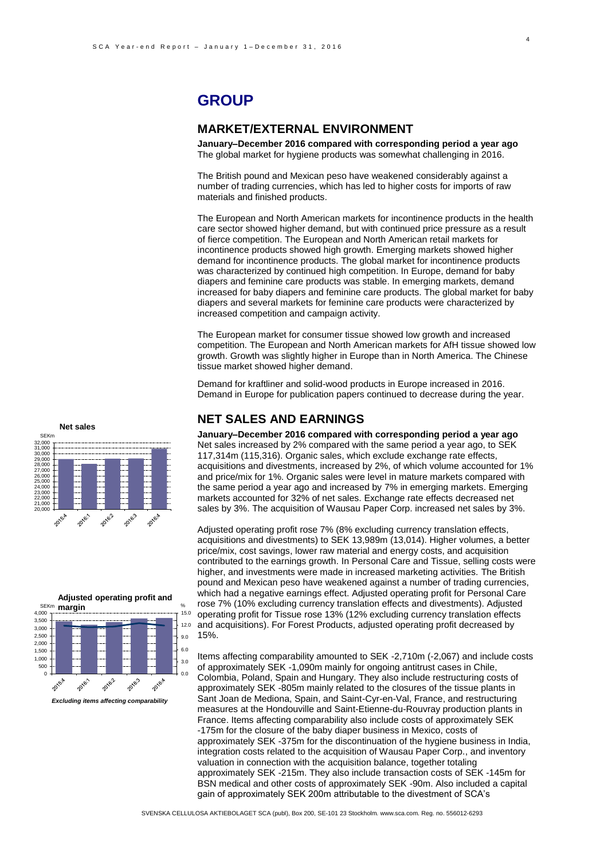## **GROUP**

### **MARKET/EXTERNAL ENVIRONMENT**

**January–December 2016 compared with corresponding period a year ago** The global market for hygiene products was somewhat challenging in 2016.

The British pound and Mexican peso have weakened considerably against a number of trading currencies, which has led to higher costs for imports of raw materials and finished products.

The European and North American markets for incontinence products in the health care sector showed higher demand, but with continued price pressure as a result of fierce competition. The European and North American retail markets for incontinence products showed high growth. Emerging markets showed higher demand for incontinence products. The global market for incontinence products was characterized by continued high competition. In Europe, demand for baby diapers and feminine care products was stable. In emerging markets, demand increased for baby diapers and feminine care products. The global market for baby diapers and several markets for feminine care products were characterized by increased competition and campaign activity.

The European market for consumer tissue showed low growth and increased competition. The European and North American markets for AfH tissue showed low growth. Growth was slightly higher in Europe than in North America. The Chinese tissue market showed higher demand.

Demand for kraftliner and solid-wood products in Europe increased in 2016. Demand in Europe for publication papers continued to decrease during the year.

### **NET SALES AND EARNINGS**

**January–December 2016 compared with corresponding period a year ago** Net sales increased by 2% compared with the same period a year ago, to SEK 117,314m (115,316). Organic sales, which exclude exchange rate effects, acquisitions and divestments, increased by 2%, of which volume accounted for 1% and price/mix for 1%. Organic sales were level in mature markets compared with the same period a year ago and increased by 7% in emerging markets. Emerging markets accounted for 32% of net sales. Exchange rate effects decreased net sales by 3%. The acquisition of Wausau Paper Corp. increased net sales by 3%.

Adjusted operating profit rose 7% (8% excluding currency translation effects, acquisitions and divestments) to SEK 13,989m (13,014). Higher volumes, a better price/mix, cost savings, lower raw material and energy costs, and acquisition contributed to the earnings growth. In Personal Care and Tissue, selling costs were higher, and investments were made in increased marketing activities. The British pound and Mexican peso have weakened against a number of trading currencies, which had a negative earnings effect. Adjusted operating profit for Personal Care rose 7% (10% excluding currency translation effects and divestments). Adjusted operating profit for Tissue rose 13% (12% excluding currency translation effects and acquisitions). For Forest Products, adjusted operating profit decreased by 15%.

Items affecting comparability amounted to SEK -2,710m (-2,067) and include costs of approximately SEK -1,090m mainly for ongoing antitrust cases in Chile, Colombia, Poland, Spain and Hungary. They also include restructuring costs of approximately SEK -805m mainly related to the closures of the tissue plants in Sant Joan de Mediona, Spain, and Saint-Cyr-en-Val, France, and restructuring measures at the Hondouville and Saint-Etienne-du-Rouvray production plants in France. Items affecting comparability also include costs of approximately SEK -175m for the closure of the baby diaper business in Mexico, costs of approximately SEK -375m for the discontinuation of the hygiene business in India, integration costs related to the acquisition of Wausau Paper Corp., and inventory valuation in connection with the acquisition balance, together totaling approximately SEK -215m. They also include transaction costs of SEK -145m for BSN medical and other costs of approximately SEK -90m. Also included a capital gain of approximately SEK 200m attributable to the divestment of SCA's

**Net sales** SEKm 32,000<br>30,000<br>29,000<br>28,000<br>27,000<br>26,000<br>25,000<br>24,000<br>23,000<br>22,000 יטט,.<br>≀∩∩ו 20,000 20162 2015.4 2016:1 2016.3 2016.4

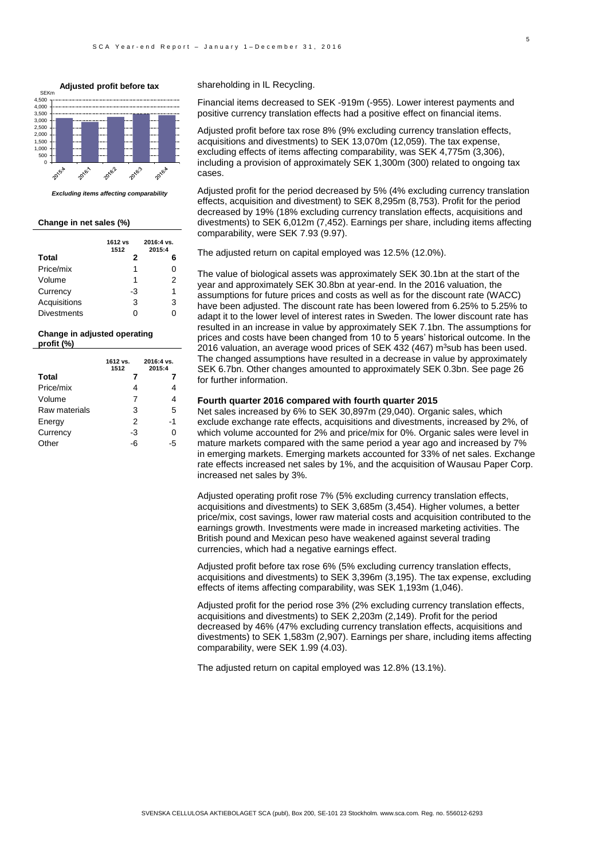**Adjusted profit before tax** SEKm4,000 4,500 3,500 3,000 2,500 2,000 1,500 1,000 .<br>500  $\overline{0}$ 2016.3 2016.2 **2016** 2015.4 2016.1 *Excluding items affecting comparability*

**Change in net sales (%)** 

|                    | 1612 vs<br>1512 | 2016:4 vs.<br>2015:4 |
|--------------------|-----------------|----------------------|
| Total              | 2               | 6                    |
| Price/mix          | 1               | 0                    |
| Volume             | 1               | 2                    |
| Currency           | -3              | 1                    |
| Acquisitions       | 3               | 3                    |
| <b>Divestments</b> |                 | ი                    |

#### **Change in** adjusted **operating profit (%)**

|               | 1612 vs.<br>1512 | 2016:4 vs.<br>2015:4 |
|---------------|------------------|----------------------|
| <b>Total</b>  |                  |                      |
| Price/mix     | 4                | 4                    |
| Volume        | 7                | 4                    |
| Raw materials | 3                | 5                    |
| Energy        | 2                | -1                   |
| Currency      | -3               | O                    |
| Other         | -6               | 5                    |

#### shareholding in IL Recycling.

Financial items decreased to SEK -919m (-955). Lower interest payments and positive currency translation effects had a positive effect on financial items.

Adjusted profit before tax rose 8% (9% excluding currency translation effects, acquisitions and divestments) to SEK 13,070m (12,059). The tax expense, excluding effects of items affecting comparability, was SEK 4,775m (3,306), including a provision of approximately SEK 1,300m (300) related to ongoing tax cases.

Adjusted profit for the period decreased by 5% (4% excluding currency translation effects, acquisition and divestment) to SEK 8,295m (8,753). Profit for the period decreased by 19% (18% excluding currency translation effects, acquisitions and divestments) to SEK 6,012m (7,452). Earnings per share, including items affecting comparability, were SEK 7.93 (9.97).

The adjusted return on capital employed was 12.5% (12.0%).

The value of biological assets was approximately SEK 30.1bn at the start of the year and approximately SEK 30.8bn at year-end. In the 2016 valuation, the assumptions for future prices and costs as well as for the discount rate (WACC) have been adjusted. The discount rate has been lowered from 6.25% to 5.25% to adapt it to the lower level of interest rates in Sweden. The lower discount rate has resulted in an increase in value by approximately SEK 7.1bn. The assumptions for prices and costs have been changed from 10 to 5 years' historical outcome. In the 2016 valuation, an average wood prices of SEK 432 (467)  $m^3$ sub has been used. The changed assumptions have resulted in a decrease in value by approximately SEK 6.7bn. Other changes amounted to approximately SEK 0.3bn. See page 26 for further information.

#### **Fourth quarter 2016 compared with fourth quarter 2015**

Net sales increased by 6% to SEK 30,897m (29,040). Organic sales, which exclude exchange rate effects, acquisitions and divestments, increased by 2%, of which volume accounted for 2% and price/mix for 0%. Organic sales were level in mature markets compared with the same period a year ago and increased by 7% in emerging markets. Emerging markets accounted for 33% of net sales. Exchange rate effects increased net sales by 1%, and the acquisition of Wausau Paper Corp. increased net sales by 3%.

Adjusted operating profit rose 7% (5% excluding currency translation effects, acquisitions and divestments) to SEK 3,685m (3,454). Higher volumes, a better price/mix, cost savings, lower raw material costs and acquisition contributed to the earnings growth. Investments were made in increased marketing activities. The British pound and Mexican peso have weakened against several trading currencies, which had a negative earnings effect.

Adjusted profit before tax rose 6% (5% excluding currency translation effects, acquisitions and divestments) to SEK 3,396m (3,195). The tax expense, excluding effects of items affecting comparability, was SEK 1,193m (1,046).

Adjusted profit for the period rose 3% (2% excluding currency translation effects, acquisitions and divestments) to SEK 2,203m (2,149). Profit for the period decreased by 46% (47% excluding currency translation effects, acquisitions and divestments) to SEK 1,583m (2,907). Earnings per share, including items affecting comparability, were SEK 1.99 (4.03).

The adjusted return on capital employed was 12.8% (13.1%).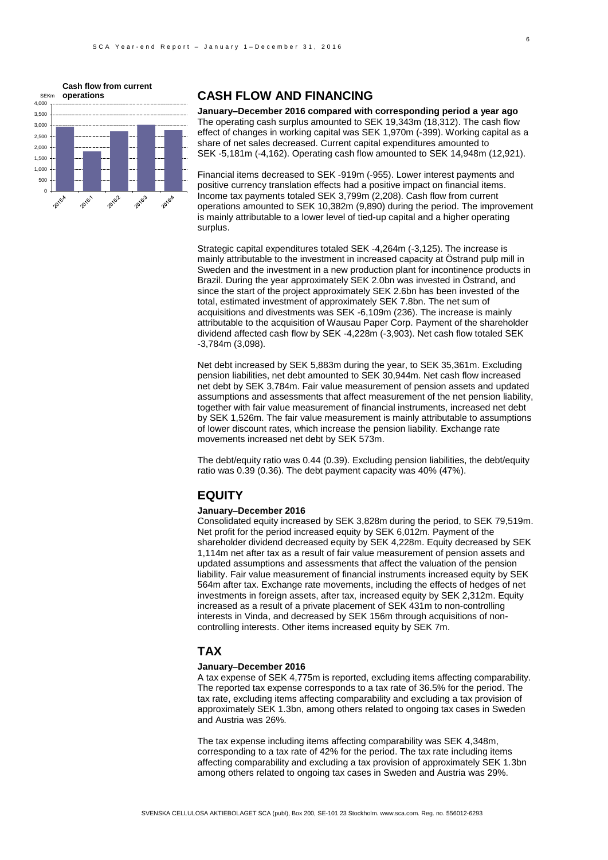

### **CASH FLOW AND FINANCING**

**January–December 2016 compared with corresponding period a year ago** The operating cash surplus amounted to SEK 19,343m (18,312). The cash flow effect of changes in working capital was SEK 1,970m (-399). Working capital as a share of net sales decreased. Current capital expenditures amounted to SEK -5,181m (-4,162). Operating cash flow amounted to SEK 14,948m (12,921).

Financial items decreased to SEK -919m (-955). Lower interest payments and positive currency translation effects had a positive impact on financial items. Income tax payments totaled SEK 3,799m (2,208). Cash flow from current operations amounted to SEK 10,382m (9,890) during the period. The improvement is mainly attributable to a lower level of tied-up capital and a higher operating surplus.

Strategic capital expenditures totaled SEK -4,264m (-3,125). The increase is mainly attributable to the investment in increased capacity at Östrand pulp mill in Sweden and the investment in a new production plant for incontinence products in Brazil. During the year approximately SEK 2.0bn was invested in Östrand, and since the start of the project approximately SEK 2.6bn has been invested of the total, estimated investment of approximately SEK 7.8bn. The net sum of acquisitions and divestments was SEK -6,109m (236). The increase is mainly attributable to the acquisition of Wausau Paper Corp. Payment of the shareholder dividend affected cash flow by SEK -4,228m (-3,903). Net cash flow totaled SEK -3,784m (3,098).

Net debt increased by SEK 5,883m during the year, to SEK 35,361m. Excluding pension liabilities, net debt amounted to SEK 30,944m. Net cash flow increased net debt by SEK 3,784m. Fair value measurement of pension assets and updated assumptions and assessments that affect measurement of the net pension liability, together with fair value measurement of financial instruments, increased net debt by SEK 1,526m. The fair value measurement is mainly attributable to assumptions of lower discount rates, which increase the pension liability. Exchange rate movements increased net debt by SEK 573m.

The debt/equity ratio was 0.44 (0.39). Excluding pension liabilities, the debt/equity ratio was 0.39 (0.36). The debt payment capacity was 40% (47%).

## **EQUITY**

#### **January–December 2016**

Consolidated equity increased by SEK 3,828m during the period, to SEK 79,519m. Net profit for the period increased equity by SEK 6,012m. Payment of the shareholder dividend decreased equity by SEK 4,228m. Equity decreased by SEK 1,114m net after tax as a result of fair value measurement of pension assets and updated assumptions and assessments that affect the valuation of the pension liability. Fair value measurement of financial instruments increased equity by SEK 564m after tax. Exchange rate movements, including the effects of hedges of net investments in foreign assets, after tax, increased equity by SEK 2,312m. Equity increased as a result of a private placement of SEK 431m to non-controlling interests in Vinda, and decreased by SEK 156m through acquisitions of noncontrolling interests. Other items increased equity by SEK 7m.

#### **TAX**

#### **January–December 2016**

A tax expense of SEK 4,775m is reported, excluding items affecting comparability. The reported tax expense corresponds to a tax rate of 36.5% for the period. The tax rate, excluding items affecting comparability and excluding a tax provision of approximately SEK 1.3bn, among others related to ongoing tax cases in Sweden and Austria was 26%.

The tax expense including items affecting comparability was SEK 4,348m, corresponding to a tax rate of 42% for the period. The tax rate including items affecting comparability and excluding a tax provision of approximately SEK 1.3bn among others related to ongoing tax cases in Sweden and Austria was 29%.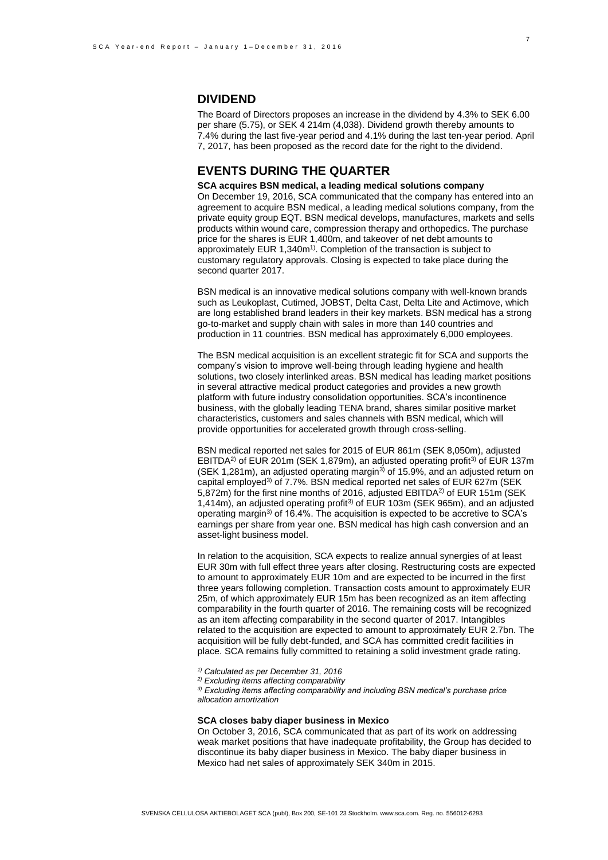### **DIVIDEND**

The Board of Directors proposes an increase in the dividend by 4.3% to SEK 6.00 per share (5.75), or SEK 4 214m (4,038). Dividend growth thereby amounts to 7.4% during the last five-year period and 4.1% during the last ten-year period. April 7, 2017, has been proposed as the record date for the right to the dividend.

## **EVENTS DURING THE QUARTER**

#### **SCA acquires BSN medical, a leading medical solutions company**

On December 19, 2016, SCA communicated that the company has entered into an agreement to acquire BSN medical, a leading medical solutions company, from the private equity group EQT. BSN medical develops, manufactures, markets and sells products within wound care, compression therapy and orthopedics. The purchase price for the shares is EUR 1,400m, and takeover of net debt amounts to approximately EUR 1,340m<sup>1)</sup>. Completion of the transaction is subject to customary regulatory approvals. Closing is expected to take place during the second quarter 2017.

BSN medical is an innovative medical solutions company with well-known brands such as Leukoplast, Cutimed, JOBST, Delta Cast, Delta Lite and Actimove, which are long established brand leaders in their key markets. BSN medical has a strong go-to-market and supply chain with sales in more than 140 countries and production in 11 countries. BSN medical has approximately 6,000 employees.

The BSN medical acquisition is an excellent strategic fit for SCA and supports the company's vision to improve well-being through leading hygiene and health solutions, two closely interlinked areas. BSN medical has leading market positions in several attractive medical product categories and provides a new growth platform with future industry consolidation opportunities. SCA's incontinence business, with the globally leading TENA brand, shares similar positive market characteristics, customers and sales channels with BSN medical, which will provide opportunities for accelerated growth through cross-selling.

BSN medical reported net sales for 2015 of EUR 861m (SEK 8,050m), adjusted EBITDA<sup>2)</sup> of EUR 201m (SEK 1,879m), an adjusted operating profit<sup>3)</sup> of EUR 137m (SEK 1,281m), an adjusted operating margin<sup>3)</sup> of 15.9%, and an adjusted return on capital employed<sup>3)</sup> of 7.7%. BSN medical reported net sales of EUR 627m (SEK 5,872m) for the first nine months of 2016, adjusted EBITDA<sup>2)</sup> of EUR 151m (SEK 1,414m), an adjusted operating profit3) of EUR 103m (SEK 965m), and an adjusted operating margin3) of 16.4%. The acquisition is expected to be accretive to SCA's earnings per share from year one. BSN medical has high cash conversion and an asset-light business model.

In relation to the acquisition, SCA expects to realize annual synergies of at least EUR 30m with full effect three years after closing. Restructuring costs are expected to amount to approximately EUR 10m and are expected to be incurred in the first three years following completion. Transaction costs amount to approximately EUR 25m, of which approximately EUR 15m has been recognized as an item affecting comparability in the fourth quarter of 2016. The remaining costs will be recognized as an item affecting comparability in the second quarter of 2017. Intangibles related to the acquisition are expected to amount to approximately EUR 2.7bn. The acquisition will be fully debt-funded, and SCA has committed credit facilities in place. SCA remains fully committed to retaining a solid investment grade rating.

*1) Calculated as per December 31, 2016*

*2) Excluding items affecting comparability* 

*3) Excluding items affecting comparability and including BSN medical's purchase price allocation amortization* 

#### **SCA closes baby diaper business in Mexico**

On October 3, 2016, SCA communicated that as part of its work on addressing weak market positions that have inadequate profitability, the Group has decided to discontinue its baby diaper business in Mexico. The baby diaper business in Mexico had net sales of approximately SEK 340m in 2015.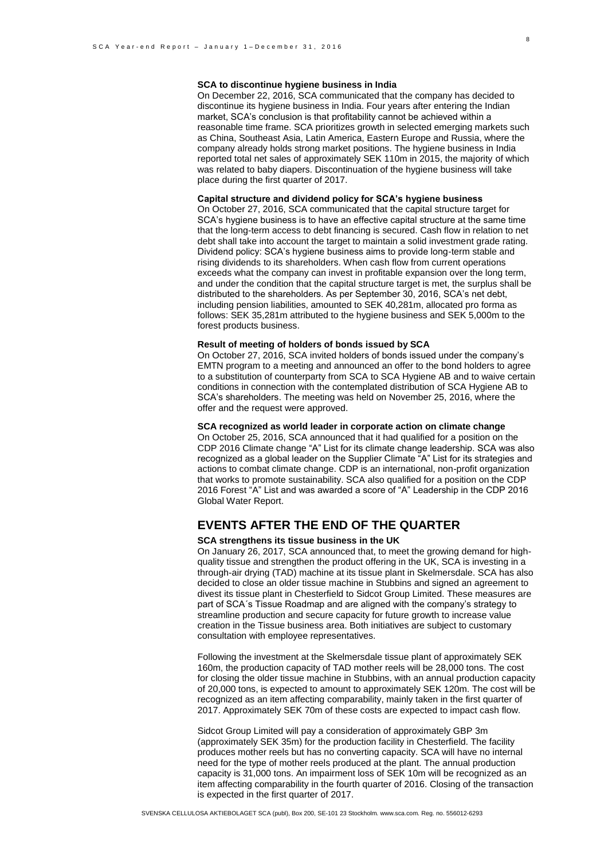#### **SCA to discontinue hygiene business in India**

On December 22, 2016, SCA communicated that the company has decided to discontinue its hygiene business in India. Four years after entering the Indian market, SCA's conclusion is that profitability cannot be achieved within a reasonable time frame. SCA prioritizes growth in selected emerging markets such as China, Southeast Asia, Latin America, Eastern Europe and Russia, where the company already holds strong market positions. The hygiene business in India reported total net sales of approximately SEK 110m in 2015, the majority of which was related to baby diapers. Discontinuation of the hygiene business will take place during the first quarter of 2017.

#### **Capital structure and dividend policy for SCA's hygiene business**

On October 27, 2016, SCA communicated that the capital structure target for SCA's hygiene business is to have an effective capital structure at the same time that the long-term access to debt financing is secured. Cash flow in relation to net debt shall take into account the target to maintain a solid investment grade rating. Dividend policy: SCA's hygiene business aims to provide long-term stable and rising dividends to its shareholders. When cash flow from current operations exceeds what the company can invest in profitable expansion over the long term, and under the condition that the capital structure target is met, the surplus shall be distributed to the shareholders. As per September 30, 2016, SCA's net debt, including pension liabilities, amounted to SEK 40,281m, allocated pro forma as follows: SEK 35,281m attributed to the hygiene business and SEK 5,000m to the forest products business.

### **Result of meeting of holders of bonds issued by SCA**

On October 27, 2016, SCA invited holders of bonds issued under the company's EMTN program to a meeting and announced an offer to the bond holders to agree to a substitution of counterparty from SCA to SCA Hygiene AB and to waive certain conditions in connection with the contemplated distribution of SCA Hygiene AB to SCA's shareholders. The meeting was held on November 25, 2016, where the offer and the request were approved.

#### **SCA recognized as world leader in corporate action on climate change**

On October 25, 2016, SCA announced that it had qualified for a position on the CDP 2016 Climate change "A" List for its climate change leadership. SCA was also recognized as a global leader on the Supplier Climate "A" List for its strategies and actions to combat climate change. CDP is an international, non-profit organization that works to promote sustainability. SCA also qualified for a position on the CDP 2016 Forest "A" List and was awarded a score of "A" Leadership in the CDP 2016 Global Water Report.

### **EVENTS AFTER THE END OF THE QUARTER**

#### **SCA strengthens its tissue business in the UK**

On January 26, 2017, SCA announced that, to meet the growing demand for highquality tissue and strengthen the product offering in the UK, SCA is investing in a through-air drying (TAD) machine at its tissue plant in Skelmersdale. SCA has also decided to close an older tissue machine in Stubbins and signed an agreement to divest its tissue plant in Chesterfield to Sidcot Group Limited. These measures are part of SCA´s Tissue Roadmap and are aligned with the company's strategy to streamline production and secure capacity for future growth to increase value creation in the Tissue business area. Both initiatives are subject to customary consultation with employee representatives.

Following the investment at the Skelmersdale tissue plant of approximately SEK 160m, the production capacity of TAD mother reels will be 28,000 tons. The cost for closing the older tissue machine in Stubbins, with an annual production capacity of 20,000 tons, is expected to amount to approximately SEK 120m. The cost will be recognized as an item affecting comparability, mainly taken in the first quarter of 2017. Approximately SEK 70m of these costs are expected to impact cash flow.

Sidcot Group Limited will pay a consideration of approximately GBP 3m (approximately SEK 35m) for the production facility in Chesterfield. The facility produces mother reels but has no converting capacity. SCA will have no internal need for the type of mother reels produced at the plant. The annual production capacity is 31,000 tons. An impairment loss of SEK 10m will be recognized as an item affecting comparability in the fourth quarter of 2016. Closing of the transaction is expected in the first quarter of 2017.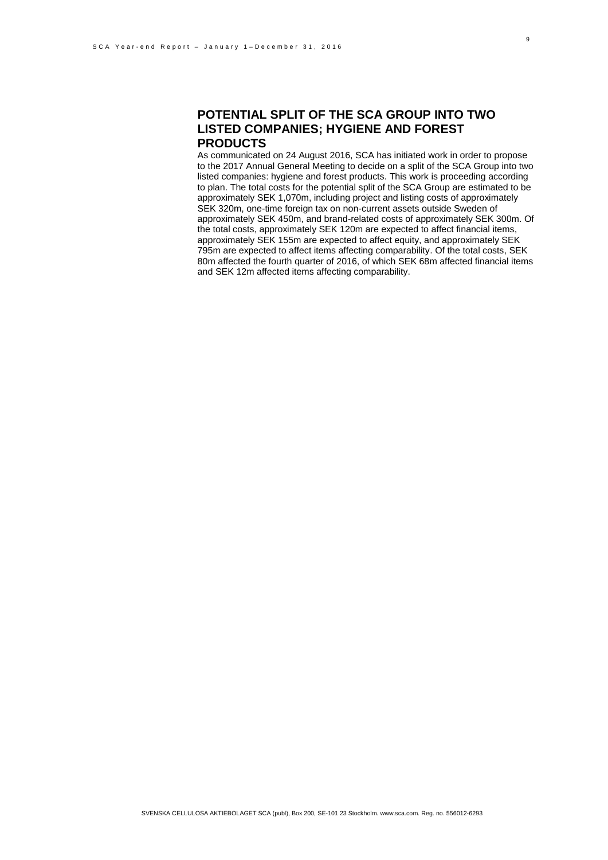### **POTENTIAL SPLIT OF THE SCA GROUP INTO TWO LISTED COMPANIES; HYGIENE AND FOREST PRODUCTS**

As communicated on 24 August 2016, SCA has initiated work in order to propose to the 2017 Annual General Meeting to decide on a split of the SCA Group into two listed companies: hygiene and forest products. This work is proceeding according to plan. The total costs for the potential split of the SCA Group are estimated to be approximately SEK 1,070m, including project and listing costs of approximately SEK 320m, one-time foreign tax on non-current assets outside Sweden of approximately SEK 450m, and brand-related costs of approximately SEK 300m. Of the total costs, approximately SEK 120m are expected to affect financial items, approximately SEK 155m are expected to affect equity, and approximately SEK 795m are expected to affect items affecting comparability. Of the total costs, SEK 80m affected the fourth quarter of 2016, of which SEK 68m affected financial items and SEK 12m affected items affecting comparability.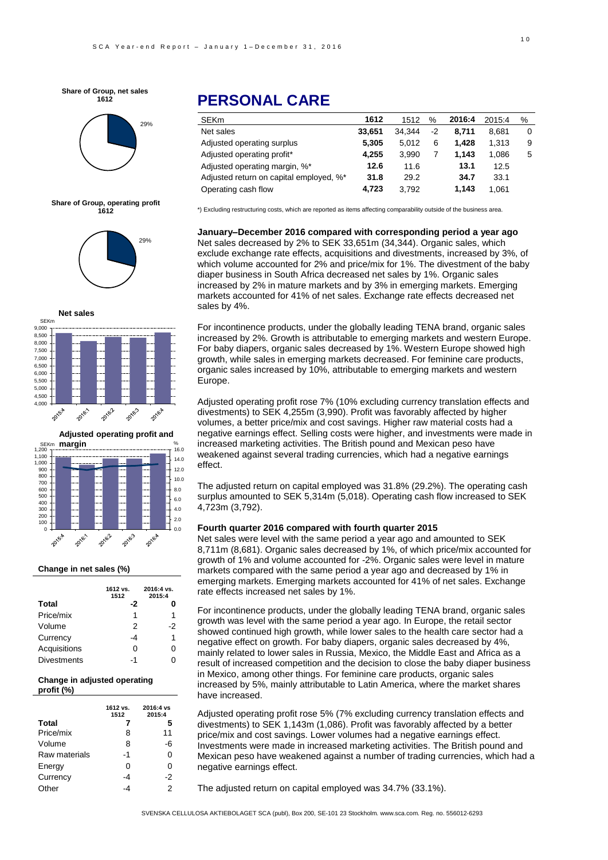**Share of Group, net sales 1612**



**Share of Group, operating profit 1612**







#### **Change in net sales (%)**

|                    | 1612 vs.<br>1512 | 2016:4 vs.<br>2015:4 |
|--------------------|------------------|----------------------|
| <b>Total</b>       | -2               |                      |
| Price/mix          | 1                | 1                    |
| Volume             | 2                | -2                   |
| Currency           | -4               | 1                    |
| Acquisitions       | O                | O                    |
| <b>Divestments</b> | -1               |                      |

#### **Change in** adjusted **operating profit (%)**

|               | 1612 vs.<br>1512 | 2016:4 vs<br>2015:4 |
|---------------|------------------|---------------------|
| <b>Total</b>  |                  | 5                   |
| Price/mix     | 8                | 11                  |
| Volume        | 8                | -6                  |
| Raw materials | -1               | 0                   |
| Energy        | 0                | ი                   |
| Currency      | -4               | -2                  |
| Other         |                  | 2                   |

# **PERSONAL CARE**

| 1612   | 1512   | %  | 2016:4 | 2015:4 | % |
|--------|--------|----|--------|--------|---|
| 33,651 | 34.344 | -2 | 8.711  | 8.681  | 0 |
| 5.305  | 5.012  | 6  | 1.428  | 1.313  | 9 |
| 4.255  | 3.990  |    | 1.143  | 1.086  | 5 |
| 12.6   | 11.6   |    | 13.1   | 12.5   |   |
| 31.8   | 29.2   |    | 34.7   | 33.1   |   |
| 4.723  | 3.792  |    | 1.143  | 1.061  |   |
|        |        |    |        |        |   |

\*) Excluding restructuring costs, which are reported as items affecting comparability outside of the business area.

**January–December 2016 compared with corresponding period a year ago** Net sales decreased by 2% to SEK 33,651m (34,344). Organic sales, which exclude exchange rate effects, acquisitions and divestments, increased by 3%, of which volume accounted for 2% and price/mix for 1%. The divestment of the baby diaper business in South Africa decreased net sales by 1%. Organic sales increased by 2% in mature markets and by 3% in emerging markets. Emerging markets accounted for 41% of net sales. Exchange rate effects decreased net sales by 4%.

For incontinence products, under the globally leading TENA brand, organic sales increased by 2%. Growth is attributable to emerging markets and western Europe. For baby diapers, organic sales decreased by 1%. Western Europe showed high growth, while sales in emerging markets decreased. For feminine care products, organic sales increased by 10%, attributable to emerging markets and western Europe.

Adjusted operating profit rose 7% (10% excluding currency translation effects and divestments) to SEK 4,255m (3,990). Profit was favorably affected by higher volumes, a better price/mix and cost savings. Higher raw material costs had a negative earnings effect. Selling costs were higher, and investments were made in increased marketing activities. The British pound and Mexican peso have weakened against several trading currencies, which had a negative earnings effect.

The adjusted return on capital employed was 31.8% (29.2%). The operating cash surplus amounted to SEK 5,314m (5,018). Operating cash flow increased to SEK 4,723m (3,792).

#### **Fourth quarter 2016 compared with fourth quarter 2015**

Net sales were level with the same period a year ago and amounted to SEK 8,711m (8,681). Organic sales decreased by 1%, of which price/mix accounted for growth of 1% and volume accounted for -2%. Organic sales were level in mature markets compared with the same period a year ago and decreased by 1% in emerging markets. Emerging markets accounted for 41% of net sales. Exchange rate effects increased net sales by 1%.

in Mexico, among other things. For feminine care products, organic sales For incontinence products, under the globally leading TENA brand, organic sales growth was level with the same period a year ago. In Europe, the retail sector showed continued high growth, while lower sales to the health care sector had a negative effect on growth. For baby diapers, organic sales decreased by 4%, mainly related to lower sales in Russia, Mexico, the Middle East and Africa as a result of increased competition and the decision to close the baby diaper business increased by 5%, mainly attributable to Latin America, where the market shares have increased.

Adjusted operating profit rose 5% (7% excluding currency translation effects and divestments) to SEK 1,143m (1,086). Profit was favorably affected by a better price/mix and cost savings. Lower volumes had a negative earnings effect. Investments were made in increased marketing activities. The British pound and Mexican peso have weakened against a number of trading currencies, which had a negative earnings effect.

The adjusted return on capital employed was 34.7% (33.1%).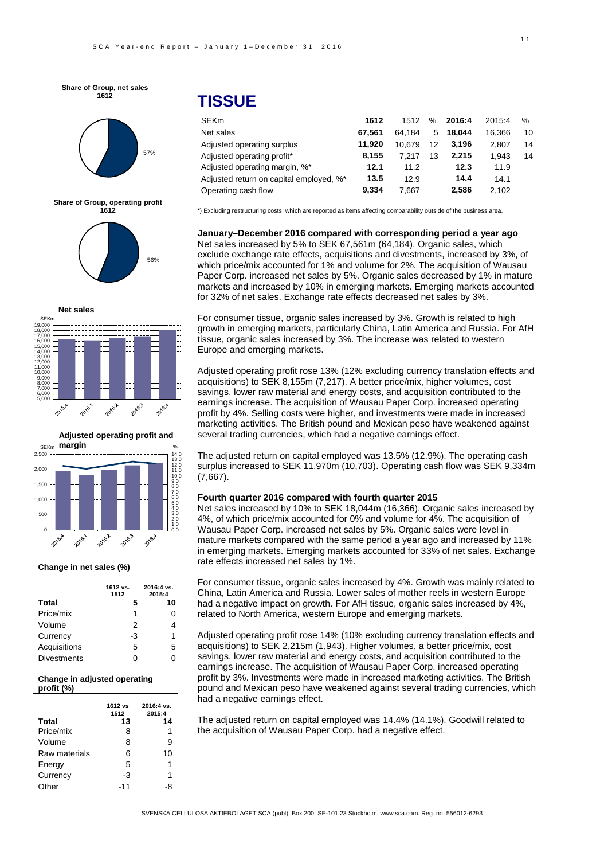**Share of Group, net sales 1612**



**Share of Group, operating profit 1612**







#### **Change in net sales (%)**

|                    | 1612 vs.<br>1512 | 2016:4 vs.<br>2015:4 |
|--------------------|------------------|----------------------|
| <b>Total</b>       | 5                | 10                   |
| Price/mix          | 1                | 0                    |
| Volume             | 2                | 4                    |
| Currency           | -3               | 1                    |
| Acquisitions       | 5                | 5                    |
| <b>Divestments</b> | O                | ი                    |

#### **Change in adjusted operating profit (%)**

|               | 1612 vs<br>1512 | 2016:4 vs.<br>2015:4 |
|---------------|-----------------|----------------------|
| <b>Total</b>  | 13              | 14                   |
| Price/mix     | 8               | 1                    |
| Volume        | 8               | 9                    |
| Raw materials | 6               | 10                   |
| Energy        | 5               | 1                    |
| Currency      | -3              | 1                    |
| Other         | -11             | -8                   |

# **TISSUE**

| <b>SEKm</b>                             | 1612   | 1512   | $\%$ | 2016:4 | 2015:4 | %  |
|-----------------------------------------|--------|--------|------|--------|--------|----|
| Net sales                               | 67.561 | 64.184 | 5    | 18.044 | 16.366 | 10 |
| Adjusted operating surplus              | 11.920 | 10.679 | 12   | 3.196  | 2.807  | 14 |
| Adjusted operating profit*              | 8.155  | 7.217  | 13   | 2.215  | 1.943  | 14 |
| Adjusted operating margin, %*           | 12.1   | 11.2   |      | 12.3   | 11.9   |    |
| Adjusted return on capital employed, %* | 13.5   | 12.9   |      | 14.4   | 14.1   |    |
| Operating cash flow                     | 9.334  | 7.667  |      | 2.586  | 2.102  |    |

\*) Excluding restructuring costs, which are reported as items affecting comparability outside of the business area.

**January–December 2016 compared with corresponding period a year ago** Net sales increased by 5% to SEK 67,561m (64,184). Organic sales, which exclude exchange rate effects, acquisitions and divestments, increased by 3%, of which price/mix accounted for 1% and volume for 2%. The acquisition of Wausau Paper Corp. increased net sales by 5%. Organic sales decreased by 1% in mature markets and increased by 10% in emerging markets. Emerging markets accounted for 32% of net sales. Exchange rate effects decreased net sales by 3%.

For consumer tissue, organic sales increased by 3%. Growth is related to high growth in emerging markets, particularly China, Latin America and Russia. For AfH tissue, organic sales increased by 3%. The increase was related to western Europe and emerging markets.

Adjusted operating profit rose 13% (12% excluding currency translation effects and acquisitions) to SEK 8,155m (7,217). A better price/mix, higher volumes, cost savings, lower raw material and energy costs, and acquisition contributed to the earnings increase. The acquisition of Wausau Paper Corp. increased operating profit by 4%. Selling costs were higher, and investments were made in increased marketing activities. The British pound and Mexican peso have weakened against several trading currencies, which had a negative earnings effect.

The adjusted return on capital employed was 13.5% (12.9%). The operating cash surplus increased to SEK 11,970m (10,703). Operating cash flow was SEK 9,334m (7,667).

#### **Fourth quarter 2016 compared with fourth quarter 2015**

Net sales increased by 10% to SEK 18,044m (16,366). Organic sales increased by 4%, of which price/mix accounted for 0% and volume for 4%. The acquisition of Wausau Paper Corp. increased net sales by 5%. Organic sales were level in mature markets compared with the same period a year ago and increased by 11% in emerging markets. Emerging markets accounted for 33% of net sales. Exchange rate effects increased net sales by 1%.

For consumer tissue, organic sales increased by 4%. Growth was mainly related to China, Latin America and Russia. Lower sales of mother reels in western Europe had a negative impact on growth. For AfH tissue, organic sales increased by 4%, related to North America, western Europe and emerging markets.

earnings increase. The acquisition of Wausau Paper Corp. increased operating Adjusted operating profit rose 14% (10% excluding currency translation effects and acquisitions) to SEK 2,215m (1,943). Higher volumes, a better price/mix, cost savings, lower raw material and energy costs, and acquisition contributed to the profit by 3%. Investments were made in increased marketing activities. The British pound and Mexican peso have weakened against several trading currencies, which had a negative earnings effect.

The adjusted return on capital employed was 14.4% (14.1%). Goodwill related to the acquisition of Wausau Paper Corp. had a negative effect.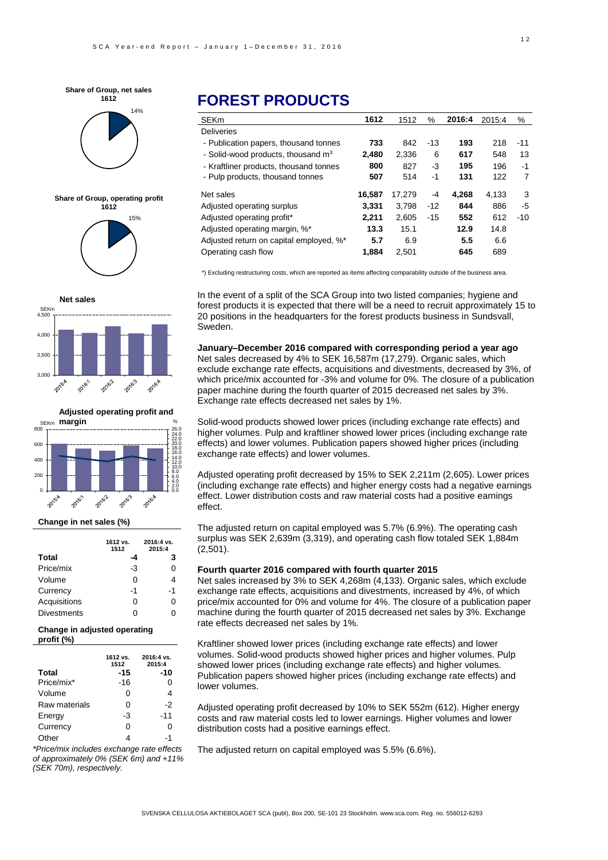



**Share of Group, operating profit 1612**







#### **Change in net sales (%)**

|                    | 1612 vs.<br>1512 | 2016:4 vs.<br>2015:4 |
|--------------------|------------------|----------------------|
| <b>Total</b>       | -4               | 3                    |
| Price/mix          | -3               | 0                    |
| Volume             | 0                | 4                    |
| Currency           | -1               | -1                   |
| Acquisitions       | 0                | 0                    |
| <b>Divestments</b> | ი                | ი                    |

#### **Change in adjusted operating profit (%)**

|               | 1612 vs.<br>1512 | 2016:4 vs.<br>2015:4 |
|---------------|------------------|----------------------|
| <b>Total</b>  | -15              | -10                  |
| Price/mix*    | -16              | 0                    |
| Volume        | O                | 4                    |
| Raw materials | 0                | -2                   |
| Energy        | -3               | $-11$                |
| Currency      | ი                | O                    |
| Other         |                  | -1                   |

*\*Price/mix includes exchange rate effects of approximately 0% (SEK 6m) and +11% (SEK 70m), respectively.*

# **FOREST PRODUCTS**

| <b>SEKm</b>                             | 1612   | 1512   | $\%$  | 2016:4 | 2015:4 | $\%$  |
|-----------------------------------------|--------|--------|-------|--------|--------|-------|
| <b>Deliveries</b>                       |        |        |       |        |        |       |
| - Publication papers, thousand tonnes   | 733    | 842    | $-13$ | 193    | 218    | $-11$ |
| - Solid-wood products, thousand $m3$    | 2,480  | 2.336  | 6     | 617    | 548    | 13    |
| - Kraftliner products, thousand tonnes  | 800    | 827    | $-3$  | 195    | 196    | $-1$  |
| - Pulp products, thousand tonnes        | 507    | 514    | -1    | 131    | 122    | 7     |
| Net sales                               | 16,587 | 17.279 | $-4$  | 4.268  | 4.133  | 3     |
| Adjusted operating surplus              | 3,331  | 3.798  | $-12$ | 844    | 886    | -5    |
| Adjusted operating profit*              | 2,211  | 2.605  | $-15$ | 552    | 612    | $-10$ |
| Adjusted operating margin, %*           | 13.3   | 15.1   |       | 12.9   | 14.8   |       |
| Adjusted return on capital employed, %* | 5.7    | 6.9    |       | 5.5    | 6.6    |       |
| Operating cash flow                     | 1.884  | 2.501  |       | 645    | 689    |       |

\*) Excluding restructuring costs, which are reported as items affecting comparability outside of the business area.

In the event of a split of the SCA Group into two listed companies; hygiene and forest products it is expected that there will be a need to recruit approximately 15 to 20 positions in the headquarters for the forest products business in Sundsvall, Sweden.

#### **January–December 2016 compared with corresponding period a year ago** Net sales decreased by 4% to SEK 16,587m (17,279). Organic sales, which

exclude exchange rate effects, acquisitions and divestments, decreased by 3%, of which price/mix accounted for -3% and volume for 0%. The closure of a publication paper machine during the fourth quarter of 2015 decreased net sales by 3%. Exchange rate effects decreased net sales by 1%.

Solid-wood products showed lower prices (including exchange rate effects) and higher volumes. Pulp and kraftliner showed lower prices (including exchange rate effects) and lower volumes. Publication papers showed higher prices (including exchange rate effects) and lower volumes.

Adjusted operating profit decreased by 15% to SEK 2,211m (2,605). Lower prices (including exchange rate effects) and higher energy costs had a negative earnings effect. Lower distribution costs and raw material costs had a positive earnings effect.

The adjusted return on capital employed was 5.7% (6.9%). The operating cash surplus was SEK 2,639m (3,319), and operating cash flow totaled SEK 1,884m (2,501).

#### **Fourth quarter 2016 compared with fourth quarter 2015**

-6 rate effects decreased net sales by 1%. Net sales increased by 3% to SEK 4,268m (4,133). Organic sales, which exclude exchange rate effects, acquisitions and divestments, increased by 4%, of which price/mix accounted for 0% and volume for 4%. The closure of a publication paper machine during the fourth quarter of 2015 decreased net sales by 3%. Exchange

Kraftliner showed lower prices (including exchange rate effects) and lower volumes. Solid-wood products showed higher prices and higher volumes. Pulp showed lower prices (including exchange rate effects) and higher volumes. Publication papers showed higher prices (including exchange rate effects) and lower volumes.

Adjusted operating profit decreased by 10% to SEK 552m (612). Higher energy costs and raw material costs led to lower earnings. Higher volumes and lower distribution costs had a positive earnings effect.

The adjusted return on capital employed was 5.5% (6.6%).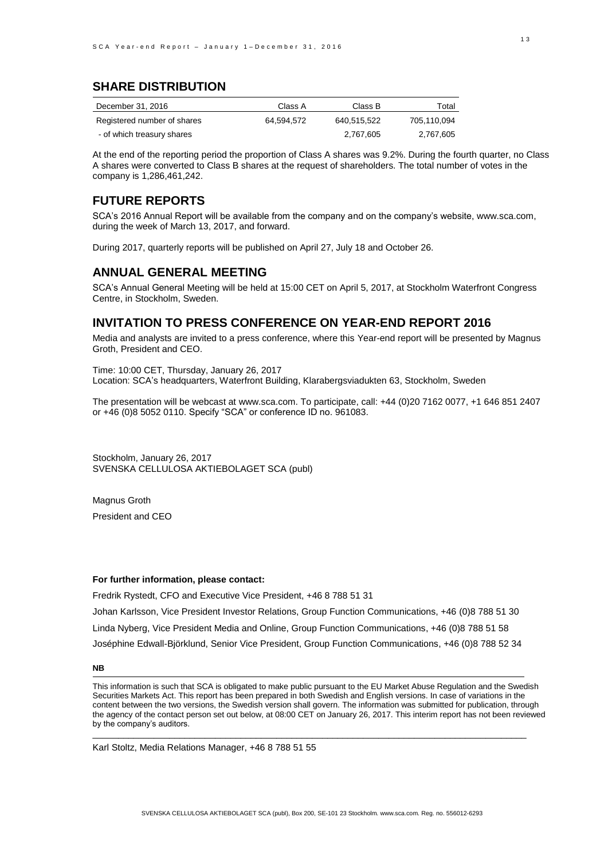## **SHARE DISTRIBUTION**

| December 31, 2016           | Class A    | Class B     | Total       |
|-----------------------------|------------|-------------|-------------|
| Registered number of shares | 64.594.572 | 640.515.522 | 705.110.094 |
| - of which treasury shares  |            | 2.767.605   | 2.767.605   |

At the end of the reporting period the proportion of Class A shares was 9.2%. During the fourth quarter, no Class A shares were converted to Class B shares at the request of shareholders. The total number of votes in the company is 1,286,461,242.

### **FUTURE REPORTS**

SCA's 2016 Annual Report will be available from the company and on the company's website, [www.sca.com,](http://www.sca.com/) during the week of March 13, 2017, and forward.

During 2017, quarterly reports will be published on April 27, July 18 and October 26.

### **ANNUAL GENERAL MEETING**

SCA's Annual General Meeting will be held at 15:00 CET on April 5, 2017, at Stockholm Waterfront Congress Centre, in Stockholm, Sweden.

## **INVITATION TO PRESS CONFERENCE ON YEAR-END REPORT 2016**

Media and analysts are invited to a press conference, where this Year-end report will be presented by Magnus Groth, President and CEO.

Time: 10:00 CET, Thursday, January 26, 2017 Location: SCA's headquarters, Waterfront Building, Klarabergsviadukten 63, Stockholm, Sweden

The presentation will be webcast at www.sca.com. To participate, call: +44 (0)20 7162 0077, +1 646 851 2407 or +46 (0)8 5052 0110. Specify "SCA" or conference ID no. 961083.

Stockholm, January 26, 2017 SVENSKA CELLULOSA AKTIEBOLAGET SCA (publ)

Magnus Groth President and CEO

#### **For further information, please contact:**

Fredrik Rystedt, CFO and Executive Vice President, +46 8 788 51 31 Johan Karlsson, Vice President Investor Relations, Group Function Communications, +46 (0)8 788 51 30 Linda Nyberg, Vice President Media and Online, Group Function Communications, +46 (0)8 788 51 58 Joséphine Edwall-Björklund, Senior Vice President, Group Function Communications, +46 (0)8 788 52 34

#### **NB**

This information is such that SCA is obligated to make public pursuant to the EU Market Abuse Regulation and the Swedish Securities Markets Act. This report has been prepared in both Swedish and English versions. In case of variations in the content between the two versions, the Swedish version shall govern. The information was submitted for publication, through the agency of the contact person set out below, at 08:00 CET on January 26, 2017. This interim report has not been reviewed by the company's auditors.

 $\_$  ,  $\_$  ,  $\_$  ,  $\_$  ,  $\_$  ,  $\_$  ,  $\_$  ,  $\_$  ,  $\_$  ,  $\_$  ,  $\_$  ,  $\_$  ,  $\_$  ,  $\_$  ,  $\_$  ,  $\_$  ,  $\_$  ,  $\_$  ,  $\_$  ,  $\_$  ,  $\_$  ,  $\_$  ,  $\_$  ,  $\_$  ,  $\_$  ,  $\_$  ,  $\_$  ,  $\_$  ,  $\_$  ,  $\_$  ,  $\_$  ,  $\_$  ,  $\_$  ,  $\_$  ,  $\_$  ,  $\_$  ,  $\_$  ,

Karl Stoltz, Media Relations Manager, +46 8 788 51 55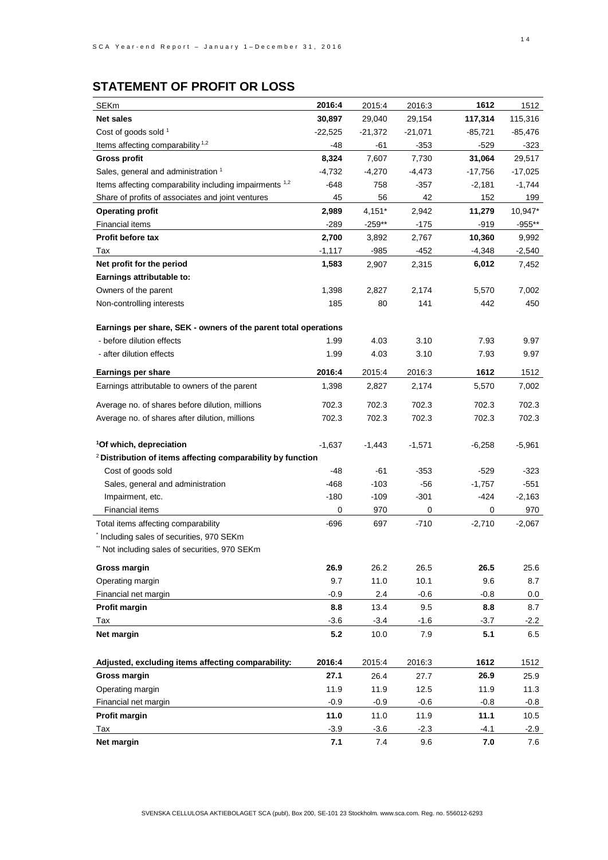# **STATEMENT OF PROFIT OR LOSS**

| <b>SEKm</b>                                                            | 2016:4    | 2015:4         | 2016:3         | 1612           | 1512           |
|------------------------------------------------------------------------|-----------|----------------|----------------|----------------|----------------|
| Net sales                                                              | 30,897    | 29,040         | 29,154         | 117,314        | 115,316        |
| Cost of goods sold 1                                                   | $-22,525$ | $-21,372$      | $-21,071$      | -85,721        | -85,476        |
| Items affecting comparability <sup>1,2</sup>                           | -48       | -61            | $-353$         | $-529$         | -323           |
| Gross profit                                                           | 8,324     | 7,607          | 7,730          | 31,064         | 29,517         |
| Sales, general and administration 1                                    | -4,732    | $-4,270$       | $-4,473$       | -17,756        | $-17,025$      |
| Items affecting comparability including impairments 1,2                | -648      | 758            | -357           | $-2,181$       | $-1,744$       |
| Share of profits of associates and joint ventures                      | 45        | 56             | 42             | 152            | 199            |
| Operating profit                                                       | 2,989     | $4,151*$       | 2,942          | 11,279         | 10,947*        |
| <b>Financial items</b>                                                 | $-289$    | $-259**$       | $-175$         | -919           | $-955**$       |
| Profit before tax                                                      | 2,700     | 3,892          | 2,767          | 10,360         | 9,992          |
| Tax                                                                    | $-1,117$  | -985           | $-452$         | $-4,348$       | $-2,540$       |
| Net profit for the period                                              | 1,583     | 2,907          | 2,315          | 6,012          | 7,452          |
| Earnings attributable to:                                              |           |                |                |                |                |
| Owners of the parent                                                   | 1,398     | 2,827          | 2,174          | 5,570          | 7,002          |
| Non-controlling interests                                              | 185       | 80             | 141            | 442            | 450            |
|                                                                        |           |                |                |                |                |
| Earnings per share, SEK - owners of the parent total operations        |           |                |                |                |                |
| - before dilution effects                                              | 1.99      | 4.03           | 3.10           | 7.93           | 9.97           |
| - after dilution effects                                               | 1.99      | 4.03           | 3.10           | 7.93           | 9.97           |
| Earnings per share                                                     | 2016:4    | 2015:4         | 2016:3         | 1612           | 1512           |
| Earnings attributable to owners of the parent                          | 1,398     | 2,827          | 2,174          | 5,570          | 7,002          |
|                                                                        |           |                |                |                |                |
| Average no. of shares before dilution, millions                        | 702.3     | 702.3<br>702.3 | 702.3<br>702.3 | 702.3<br>702.3 | 702.3<br>702.3 |
| Average no. of shares after dilution, millions                         | 702.3     |                |                |                |                |
| <sup>1</sup> Of which, depreciation                                    | $-1,637$  | $-1,443$       | $-1,571$       | $-6,258$       | $-5,961$       |
| <sup>2</sup> Distribution of items affecting comparability by function |           |                |                |                |                |
| Cost of goods sold                                                     | -48       | $-61$          | -353           | $-529$         | $-323$         |
| Sales, general and administration                                      | $-468$    | $-103$         | $-56$          | $-1,757$       | -551           |
| Impairment, etc.                                                       | $-180$    | $-109$         | $-301$         | -424           | $-2,163$       |
| Financial items                                                        | 0         | 970            | 0              | 0              | 970            |
| Total items affecting comparability                                    | $-696$    | 697            | $-710$         | $-2,710$       | $-2,067$       |
| Including sales of securities, 970 SEKm                                |           |                |                |                |                |
| Not including sales of securities, 970 SEKm                            |           |                |                |                |                |
|                                                                        |           |                |                |                |                |
| Gross margin                                                           | 26.9      | 26.2           | 26.5           | 26.5           | 25.6           |
| Operating margin                                                       | 9.7       | 11.0           | 10.1           | 9.6            | 8.7            |
| Financial net margin                                                   | -0.9      | $2.4\,$        | $-0.6$         | $-0.8$         | 0.0            |
| Profit margin                                                          | 8.8       | 13.4           | 9.5            | 8.8            | 8.7            |
| Tax                                                                    | $-3.6$    | $-3.4$         | $-1.6$         | $-3.7$         | $-2.2$         |
| Net margin                                                             | 5.2       | 10.0           | 7.9            | 5.1            | 6.5            |
|                                                                        |           |                |                |                |                |
| Adjusted, excluding items affecting comparability:                     | 2016:4    | 2015:4         | 2016:3         | 1612           | 1512           |
| <b>Gross margin</b>                                                    | 27.1      | 26.4           | 27.7           | 26.9           | 25.9           |
| Operating margin                                                       | 11.9      | 11.9           | 12.5           | 11.9           | 11.3           |
| Financial net margin                                                   | $-0.9$    | $-0.9$         | $-0.6$         | $-0.8$         | -0.8           |
| Profit margin                                                          | 11.0      | 11.0           | 11.9           | 11.1           | 10.5           |
| Tax                                                                    | $-3.9$    | $-3.6$         | $-2.3$         | $-4.1$         | $-2.9$         |
| Net margin                                                             | 7.1       | 7.4            | 9.6            | 7.0            | 7.6            |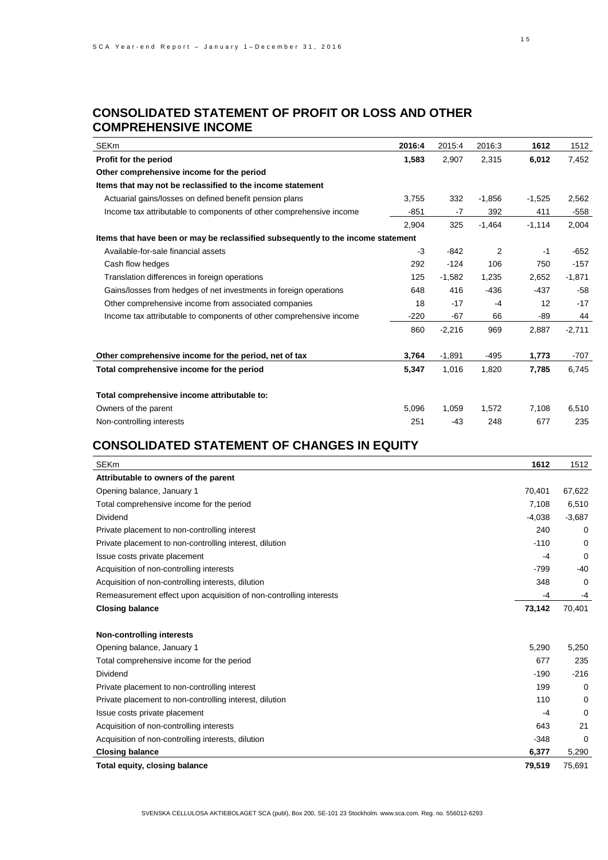## **CONSOLIDATED STATEMENT OF PROFIT OR LOSS AND OTHER COMPREHENSIVE INCOME**

| <b>SEKm</b>                                                                      | 2016:4 | 2015:4   | 2016:3   | 1612     | 1512     |
|----------------------------------------------------------------------------------|--------|----------|----------|----------|----------|
| Profit for the period                                                            | 1,583  | 2,907    | 2.315    | 6,012    | 7,452    |
| Other comprehensive income for the period                                        |        |          |          |          |          |
| Items that may not be reclassified to the income statement                       |        |          |          |          |          |
| Actuarial gains/losses on defined benefit pension plans                          | 3,755  | 332      | $-1,856$ | $-1,525$ | 2,562    |
| Income tax attributable to components of other comprehensive income              | $-851$ | $-7$     | 392      | 411      | $-558$   |
|                                                                                  | 2,904  | 325      | $-1,464$ | $-1,114$ | 2,004    |
| Items that have been or may be reclassified subsequently to the income statement |        |          |          |          |          |
| Available-for-sale financial assets                                              | $-3$   | $-842$   | 2        | $-1$     | $-652$   |
| Cash flow hedges                                                                 | 292    | $-124$   | 106      | 750      | $-157$   |
| Translation differences in foreign operations                                    | 125    | $-1,582$ | 1,235    | 2,652    | $-1,871$ |
| Gains/losses from hedges of net investments in foreign operations                | 648    | 416      | $-436$   | $-437$   | $-58$    |
| Other comprehensive income from associated companies                             | 18     | $-17$    | $-4$     | 12       | $-17$    |
| Income tax attributable to components of other comprehensive income              | $-220$ | $-67$    | 66       | $-89$    | 44       |
|                                                                                  | 860    | $-2,216$ | 969      | 2,887    | $-2,711$ |
|                                                                                  |        |          |          |          |          |
| Other comprehensive income for the period, net of tax                            | 3,764  | $-1,891$ | $-495$   | 1,773    | $-707$   |
| Total comprehensive income for the period                                        | 5,347  | 1,016    | 1,820    | 7,785    | 6,745    |
|                                                                                  |        |          |          |          |          |
| Total comprehensive income attributable to:                                      |        |          |          |          |          |
| Owners of the parent                                                             | 5,096  | 1,059    | 1.572    | 7.108    | 6,510    |
| Non-controlling interests                                                        | 251    | $-43$    | 248      | 677      | 235      |
|                                                                                  |        |          |          |          |          |

## **CONSOLIDATED STATEMENT OF CHANGES IN EQUITY**

| <b>SEKm</b>                                                        | 1612     | 1512     |
|--------------------------------------------------------------------|----------|----------|
| Attributable to owners of the parent                               |          |          |
| Opening balance, January 1                                         | 70,401   | 67,622   |
| Total comprehensive income for the period                          | 7,108    | 6,510    |
| <b>Dividend</b>                                                    | $-4,038$ | $-3,687$ |
| Private placement to non-controlling interest                      | 240      | 0        |
| Private placement to non-controlling interest, dilution            | $-110$   | 0        |
| Issue costs private placement                                      | $-4$     | 0        |
| Acquisition of non-controlling interests                           | $-799$   | $-40$    |
| Acquisition of non-controlling interests, dilution                 | 348      | 0        |
| Remeasurement effect upon acquisition of non-controlling interests | -4       | -4       |
| Closing balance                                                    | 73,142   | 70,401   |
| <b>Non-controlling interests</b>                                   |          |          |
| Opening balance, January 1                                         | 5,290    | 5,250    |
| Total comprehensive income for the period                          | 677      | 235      |
| <b>Dividend</b>                                                    | $-190$   | $-216$   |
| Private placement to non-controlling interest                      | 199      | 0        |
| Private placement to non-controlling interest, dilution            | 110      | 0        |
| Issue costs private placement                                      | $-4$     | 0        |
| Acquisition of non-controlling interests                           | 643      | 21       |
| Acquisition of non-controlling interests, dilution                 | $-348$   | 0        |
| Closing balance                                                    | 6,377    | 5,290    |
| Total equity, closing balance                                      | 79,519   | 75,691   |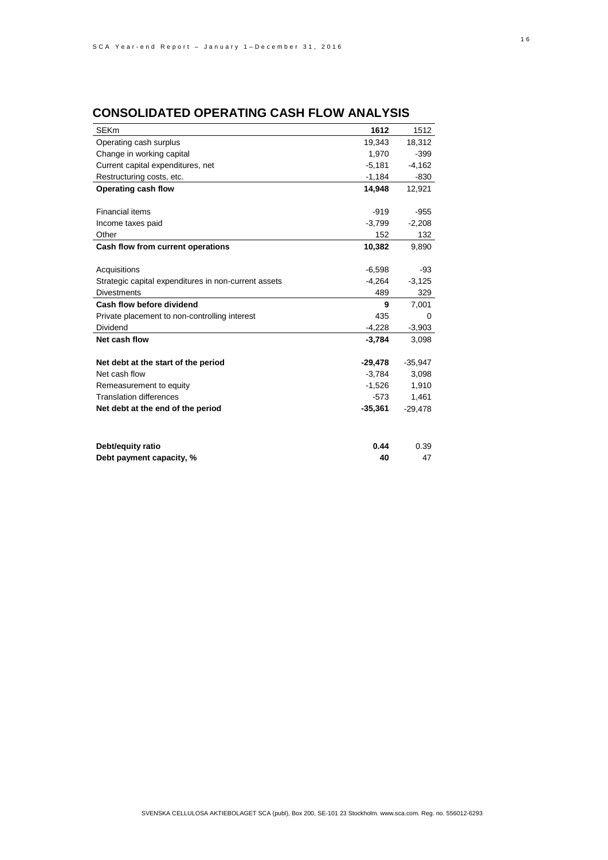| <b>SEKm</b>                                          | 1612      | 1512      |
|------------------------------------------------------|-----------|-----------|
| Operating cash surplus                               | 19,343    | 18,312    |
| Change in working capital                            | 1,970     | $-399$    |
| Current capital expenditures, net                    | $-5,181$  | $-4,162$  |
| Restructuring costs, etc.                            | $-1,184$  | $-830$    |
| Operating cash flow                                  | 14,948    | 12,921    |
|                                                      |           |           |
| <b>Financial items</b>                               | $-919$    | $-955$    |
| Income taxes paid                                    | $-3,799$  | $-2,208$  |
| Other                                                | 152       | 132       |
| Cash flow from current operations                    | 10,382    | 9,890     |
|                                                      |           |           |
| Acquisitions                                         | $-6,598$  | -93       |
| Strategic capital expenditures in non-current assets | $-4,264$  | $-3,125$  |
| <b>Divestments</b>                                   | 489       | 329       |
| Cash flow before dividend                            | 9         | 7,001     |
| Private placement to non-controlling interest        | 435       | $\Omega$  |
| <b>Dividend</b>                                      | $-4,228$  | $-3,903$  |
| Net cash flow                                        | $-3,784$  | 3,098     |
|                                                      |           |           |
| Net debt at the start of the period                  | $-29,478$ | $-35,947$ |
| Net cash flow                                        | $-3,784$  | 3,098     |
| Remeasurement to equity                              | $-1,526$  | 1,910     |
| <b>Translation differences</b>                       | $-573$    | 1,461     |
| Net debt at the end of the period                    | $-35,361$ | $-29,478$ |
|                                                      |           |           |
| Debt/equity ratio                                    | 0.44      | 0.39      |
| Debt payment capacity, %                             | 40        | 47        |

## **CONSOLIDATED OPERATING CASH FLOW ANALYSIS**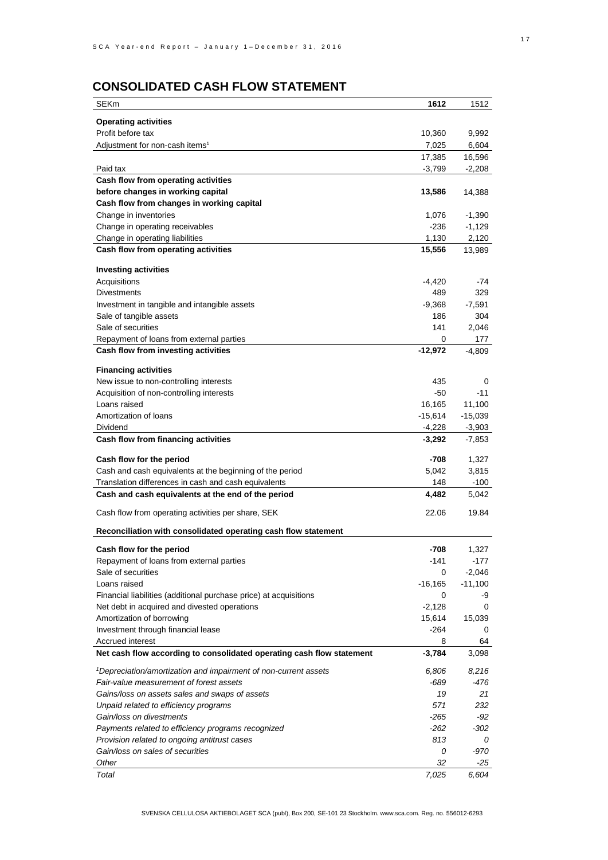## **CONSOLIDATED CASH FLOW STATEMENT**

| <b>SEKm</b>                                                                      | 1612            | 1512              |
|----------------------------------------------------------------------------------|-----------------|-------------------|
|                                                                                  |                 |                   |
| <b>Operating activities</b>                                                      |                 |                   |
| Profit before tax                                                                | 10,360          | 9,992             |
| Adjustment for non-cash items <sup>1</sup>                                       | 7,025           | 6,604             |
|                                                                                  | 17,385          | 16,596            |
| Paid tax                                                                         | $-3,799$        | $-2,208$          |
| Cash flow from operating activities                                              |                 |                   |
| before changes in working capital                                                | 13,586          | 14,388            |
| Cash flow from changes in working capital<br>Change in inventories               |                 |                   |
|                                                                                  | 1,076<br>$-236$ | $-1,390$          |
| Change in operating receivables<br>Change in operating liabilities               | 1,130           | $-1,129$<br>2,120 |
|                                                                                  |                 |                   |
| Cash flow from operating activities                                              | 15,556          | 13,989            |
| <b>Investing activities</b>                                                      |                 |                   |
| Acquisitions                                                                     | $-4,420$        | -74               |
| <b>Divestments</b>                                                               | 489             | 329               |
| Investment in tangible and intangible assets                                     | $-9,368$        | $-7,591$          |
| Sale of tangible assets                                                          | 186             | 304               |
| Sale of securities                                                               | 141             | 2,046             |
| Repayment of loans from external parties                                         | 0               | 177               |
| Cash flow from investing activities                                              | $-12,972$       | -4,809            |
|                                                                                  |                 |                   |
| <b>Financing activities</b>                                                      |                 |                   |
| New issue to non-controlling interests                                           | 435             | 0                 |
| Acquisition of non-controlling interests                                         | $-50$           | $-11$             |
| Loans raised                                                                     | 16,165          | 11,100            |
| Amortization of loans                                                            | $-15,614$       | $-15,039$         |
| Dividend                                                                         | $-4,228$        | $-3,903$          |
| Cash flow from financing activities                                              | $-3,292$        | $-7,853$          |
| Cash flow for the period                                                         | $-708$          | 1,327             |
| Cash and cash equivalents at the beginning of the period                         | 5,042           | 3,815             |
| Translation differences in cash and cash equivalents                             | 148             | $-100$            |
| Cash and cash equivalents at the end of the period                               | 4,482           | 5,042             |
|                                                                                  |                 |                   |
| Cash flow from operating activities per share, SEK                               | 22.06           | 19.84             |
| Reconciliation with consolidated operating cash flow statement                   |                 |                   |
| Cash flow for the period                                                         | $-708$          | 1,327             |
| Repayment of loans from external parties                                         | -141            | -177              |
| Sale of securities                                                               | 0               | $-2,046$          |
| Loans raised                                                                     | $-16, 165$      | $-11,100$         |
| Financial liabilities (additional purchase price) at acquisitions                | 0               | -9                |
| Net debt in acquired and divested operations                                     | $-2,128$        | 0                 |
| Amortization of borrowing                                                        | 15,614          | 15,039            |
| Investment through financial lease                                               | -264            | 0                 |
| Accrued interest                                                                 | 8               | 64                |
| Net cash flow according to consolidated operating cash flow statement            | $-3,784$        | 3,098             |
|                                                                                  |                 |                   |
| <sup>1</sup> Depreciation/amortization and impairment of non-current assets      | 6,806           | 8,216             |
| Fair-value measurement of forest assets                                          | -689            | -476              |
| Gains/loss on assets sales and swaps of assets                                   | 19              | 21                |
| Unpaid related to efficiency programs                                            | 571             | 232               |
| Gain/loss on divestments                                                         | -265            | -92               |
| Payments related to efficiency programs recognized                               | $-262$          | $-302$            |
| Provision related to ongoing antitrust cases<br>Gain/loss on sales of securities | 813<br>0        | 0<br>-970         |
| Other                                                                            | 32              | -25               |
| Total                                                                            | 7,025           | 6,604             |
|                                                                                  |                 |                   |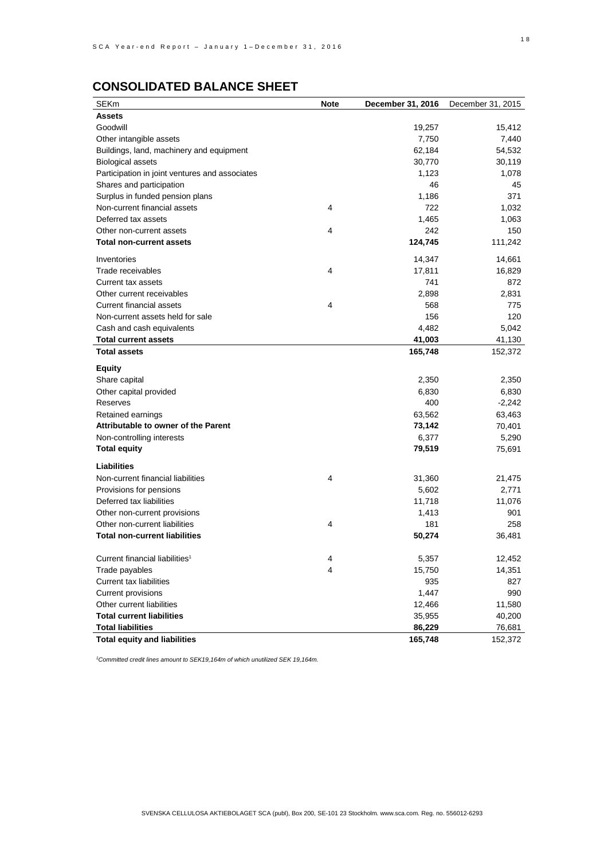# **CONSOLIDATED BALANCE SHEET**

| <b>SEKm</b>                                    | Note | December 31, 2016 | December 31, 2015 |
|------------------------------------------------|------|-------------------|-------------------|
| Assets                                         |      |                   |                   |
| Goodwill                                       |      | 19,257            | 15,412            |
| Other intangible assets                        |      | 7,750             | 7,440             |
| Buildings, land, machinery and equipment       |      | 62,184            | 54,532            |
| <b>Biological assets</b>                       |      | 30,770            | 30,119            |
| Participation in joint ventures and associates |      | 1,123             | 1,078             |
| Shares and participation                       |      | 46                | 45                |
| Surplus in funded pension plans                |      | 1,186             | 371               |
| Non-current financial assets                   | 4    | 722               | 1,032             |
| Deferred tax assets                            |      | 1,465             | 1,063             |
| Other non-current assets                       | 4    | 242               | 150               |
| Total non-current assets                       |      | 124,745           | 111,242           |
| Inventories                                    |      | 14,347            | 14,661            |
| Trade receivables                              | 4    | 17,811            | 16,829            |
| Current tax assets                             |      | 741               | 872               |
| Other current receivables                      |      | 2,898             | 2,831             |
| <b>Current financial assets</b>                | 4    | 568               | 775               |
| Non-current assets held for sale               |      | 156               | 120               |
| Cash and cash equivalents                      |      | 4,482             | 5,042             |
| Total current assets                           |      | 41,003            | 41,130            |
| <b>Total assets</b>                            |      | 165,748           | 152,372           |
| Equity                                         |      |                   |                   |
| Share capital                                  |      | 2,350             | 2,350             |
| Other capital provided                         |      | 6,830             | 6,830             |
| Reserves                                       |      | 400               | $-2,242$          |
| Retained earnings                              |      | 63,562            | 63,463            |
| Attributable to owner of the Parent            |      | 73,142            | 70,401            |
| Non-controlling interests                      |      | 6,377             | 5,290             |
| Total equity                                   |      | 79,519            | 75,691            |
|                                                |      |                   |                   |
| Liabilities                                    |      |                   |                   |
| Non-current financial liabilities              | 4    | 31,360            | 21,475            |
| Provisions for pensions                        |      | 5,602             | 2,771             |
| Deferred tax liabilities                       |      | 11,718            | 11,076            |
| Other non-current provisions                   |      | 1,413             | 901               |
| Other non-current liabilities                  | 4    | 181               | 258               |
| Total non-current liabilities                  |      | 50,274            | 36,481            |
| Current financial liabilities <sup>1</sup>     | 4    | 5,357             | 12,452            |
| Trade payables                                 | 4    | 15,750            | 14,351            |
| <b>Current tax liabilities</b>                 |      | 935               | 827               |
| Current provisions                             |      | 1,447             | 990               |
| Other current liabilities                      |      | 12,466            | 11,580            |
| Total current liabilities                      |      | 35,955            | 40,200            |
| <b>Total liabilities</b>                       |      | 86,229            | 76,681            |
| Total equity and liabilities                   |      | 165,748           | 152,372           |
|                                                |      |                   |                   |

*<sup>1</sup>Committed credit lines amount to SEK19,164m of which unutilized SEK 19,164m.*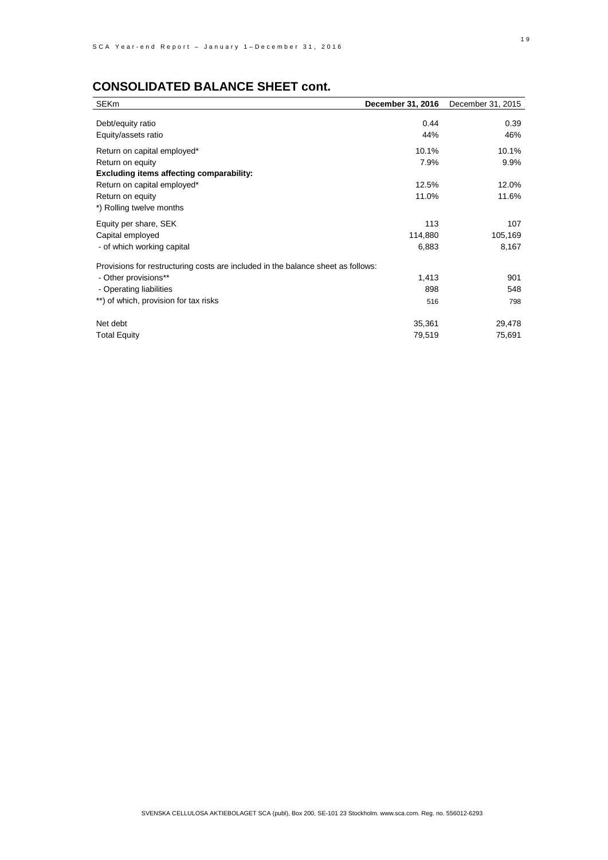| <b>SEKm</b>                                                                      | December 31, 2016 | December 31, 2015 |
|----------------------------------------------------------------------------------|-------------------|-------------------|
|                                                                                  |                   |                   |
| Debt/equity ratio                                                                | 0.44              | 0.39              |
| Equity/assets ratio                                                              | 44%               | 46%               |
| Return on capital employed*                                                      | 10.1%             | 10.1%             |
| Return on equity                                                                 | 7.9%              | 9.9%              |
| Excluding items affecting comparability:                                         |                   |                   |
| Return on capital employed*                                                      | 12.5%             | 12.0%             |
| Return on equity                                                                 | 11.0%             | 11.6%             |
| *) Rolling twelve months                                                         |                   |                   |
| Equity per share, SEK                                                            | 113               | 107               |
| Capital employed                                                                 | 114,880           | 105,169           |
| - of which working capital                                                       | 6,883             | 8,167             |
| Provisions for restructuring costs are included in the balance sheet as follows: |                   |                   |
| - Other provisions**                                                             | 1,413             | 901               |
| - Operating liabilities                                                          | 898               | 548               |
|                                                                                  |                   |                   |
| **) of which, provision for tax risks                                            | 516               | 798               |
| Net debt                                                                         | 35,361            | 29,478            |
| <b>Total Equity</b>                                                              | 79,519            | 75,691            |
|                                                                                  |                   |                   |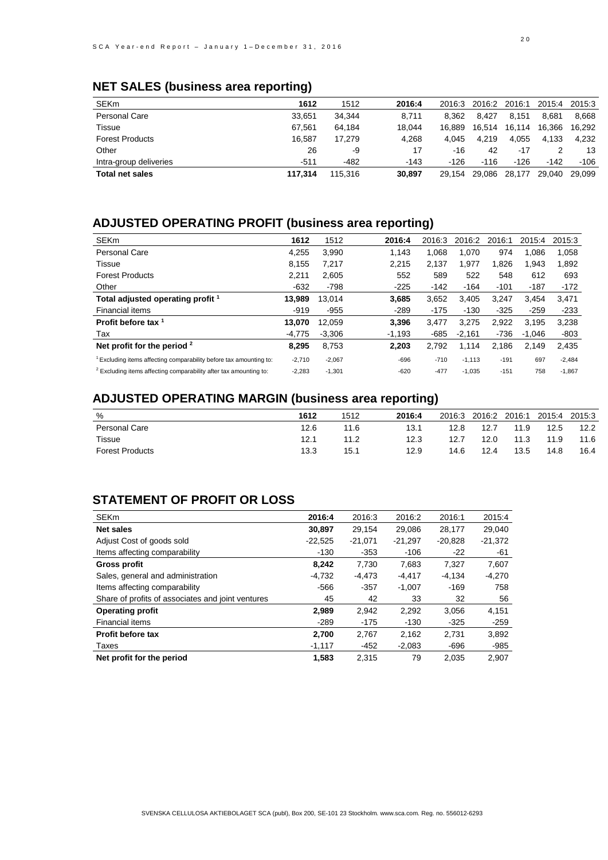|                        | . .     |         |        |        |        |        |        |        |
|------------------------|---------|---------|--------|--------|--------|--------|--------|--------|
| <b>SEKm</b>            | 1612    | 1512    | 2016:4 | 2016:3 | 2016:2 | 2016:1 | 2015:4 | 2015:3 |
| Personal Care          | 33.651  | 34,344  | 8.711  | 8.362  | 8.427  | 8.151  | 8.681  | 8.668  |
| Tissue                 | 67.561  | 64.184  | 18.044 | 16.889 | 16.514 | 16,114 | 16.366 | 16.292 |
| <b>Forest Products</b> | 16.587  | 17.279  | 4.268  | 4.045  | 4.219  | 4.055  | 4.133  | 4.232  |
| Other                  | 26      | -9      | 17     | -16    | 42     | $-17$  |        | 13     |
| Intra-group deliveries | $-511$  | $-482$  | $-143$ | $-126$ | $-116$ | $-126$ | $-142$ | $-106$ |
| <b>Total net sales</b> | 117.314 | 115,316 | 30.897 | 29.154 | 29.086 | 28,177 | 29.040 | 29.099 |

## **NET SALES (business area reporting)**

# **ADJUSTED OPERATING PROFIT (business area reporting)**

| <b>SEKm</b>                                                                   | 1612     | 1512     | 2016:4   | 2016:3 | 2016:2   | 2016:1 | 2015:4 | 2015:3   |
|-------------------------------------------------------------------------------|----------|----------|----------|--------|----------|--------|--------|----------|
| <b>Personal Care</b>                                                          | 4,255    | 3.990    | 1.143    | 1.068  | 1.070    | 974    | 1.086  | 1,058    |
| Tissue                                                                        | 8.155    | 7.217    | 2.215    | 2.137  | 1.977    | 1.826  | 1.943  | 1,892    |
| <b>Forest Products</b>                                                        | 2.211    | 2,605    | 552      | 589    | 522      | 548    | 612    | 693      |
| Other                                                                         | $-632$   | -798     | $-225$   | -142   | $-164$   | $-101$ | $-187$ | $-172$   |
| Total adjusted operating profit 1                                             | 13,989   | 13.014   | 3,685    | 3.652  | 3.405    | 3.247  | 3.454  | 3.471    |
| Financial items                                                               | $-919$   | $-955$   | $-289$   | $-175$ | $-130$   | $-325$ | $-259$ | $-233$   |
| Profit before tax 1                                                           | 13.070   | 12.059   | 3.396    | 3.477  | 3.275    | 2.922  | 3.195  | 3.238    |
| Tax                                                                           | $-4.775$ | $-3.306$ | $-1.193$ | $-685$ | $-2.161$ | $-736$ | -1.046 | $-803$   |
| Net profit for the period $2$                                                 | 8.295    | 8.753    | 2.203    | 2.792  | 1,114    | 2.186  | 2.149  | 2.435    |
| <sup>1</sup> Excluding items affecting comparability before tax amounting to: | $-2,710$ | $-2,067$ | $-696$   | $-710$ | $-1,113$ | $-191$ | 697    | $-2,484$ |
| <sup>2</sup> Excluding items affecting comparability after tax amounting to:  | $-2,283$ | $-1,301$ | $-620$   | $-477$ | $-1,035$ | $-151$ | 758    | $-1,867$ |

# **ADJUSTED OPERATING MARGIN (business area reporting)**

| %                      | 1612 | 1512 | 2016:4 | 2016:3 | 2016:2 | 2016:1 | 2015:4 | 2015:3 |
|------------------------|------|------|--------|--------|--------|--------|--------|--------|
| Personal Care          | 12.6 | 11.6 | 13.1   | 12.8   | 12.7   | 11.9   | 12.5   | 12.2   |
| Tissue                 | 12.1 | 11.2 | 12.3   | 12.7   | 12.0   | 11.3   | 11.9   | 11.6   |
| <b>Forest Products</b> | 13.3 | 15.1 | 12.9   | 14.6   | 12.4   | 13.5   | 14.8   | 16.4   |

## **STATEMENT OF PROFIT OR LOSS**

| <b>SEKm</b>                                       | 2016:4    | 2016:3    | 2016:2    | 2016:1    | 2015:4    |
|---------------------------------------------------|-----------|-----------|-----------|-----------|-----------|
| Net sales                                         | 30,897    | 29.154    | 29.086    | 28.177    | 29,040    |
| Adjust Cost of goods sold                         | $-22,525$ | $-21.071$ | $-21.297$ | $-20.828$ | $-21,372$ |
| Items affecting comparability                     | $-130$    | $-353$    | $-106$    | $-22$     | -61       |
| Gross profit                                      | 8.242     | 7.730     | 7.683     | 7.327     | 7,607     |
| Sales, general and administration                 | $-4,732$  | -4,473    | $-4.417$  | $-4.134$  | $-4,270$  |
| Items affecting comparability                     | -566      | $-357$    | $-1.007$  | $-169$    | 758       |
| Share of profits of associates and joint ventures | 45        | 42        | 33        | 32        | 56        |
| Operating profit                                  | 2,989     | 2,942     | 2.292     | 3,056     | 4,151     |
| Financial items                                   | $-289$    | -175      | $-130$    | $-325$    | $-259$    |
| Profit before tax                                 | 2,700     | 2,767     | 2,162     | 2,731     | 3,892     |
| Taxes                                             | $-1,117$  | -452      | $-2,083$  | $-696$    | $-985$    |
| Net profit for the period                         | 1,583     | 2.315     | 79        | 2.035     | 2.907     |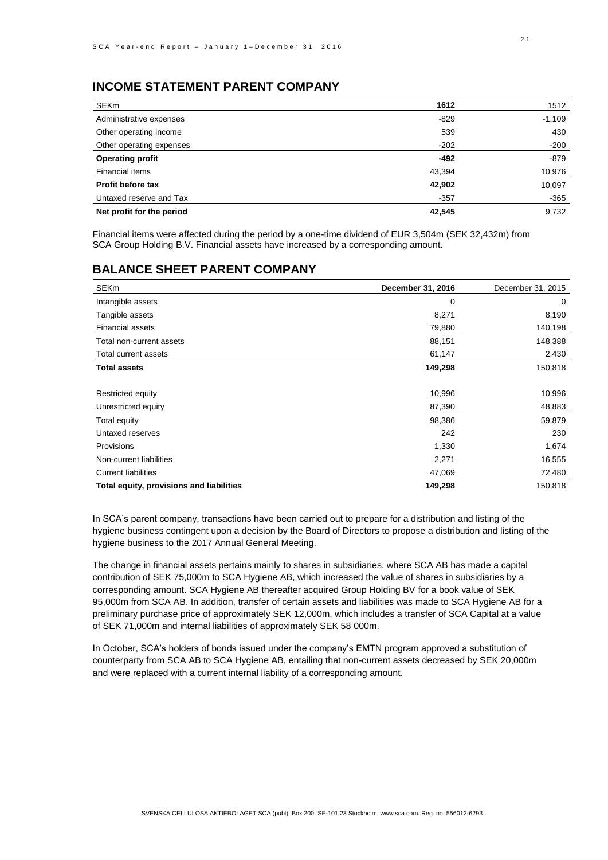## **INCOME STATEMENT PARENT COMPANY**

| <b>SEKm</b>               | 1612   | 1512     |
|---------------------------|--------|----------|
| Administrative expenses   | $-829$ | $-1,109$ |
| Other operating income    | 539    | 430      |
| Other operating expenses  | $-202$ | $-200$   |
| <b>Operating profit</b>   | $-492$ | $-879$   |
| Financial items           | 43,394 | 10,976   |
| Profit before tax         | 42,902 | 10,097   |
| Untaxed reserve and Tax   | $-357$ | $-365$   |
| Net profit for the period | 42,545 | 9,732    |

Financial items were affected during the period by a one-time dividend of EUR 3,504m (SEK 32,432m) from SCA Group Holding B.V. Financial assets have increased by a corresponding amount.

### **BALANCE SHEET PARENT COMPANY**

| <b>SEKm</b>                              | December 31, 2016 | December 31, 2015 |
|------------------------------------------|-------------------|-------------------|
| Intangible assets                        | 0                 | 0                 |
| Tangible assets                          | 8,271             | 8,190             |
| Financial assets                         | 79,880            | 140,198           |
| Total non-current assets                 | 88,151            | 148,388           |
| Total current assets                     | 61,147            | 2,430             |
| <b>Total assets</b>                      | 149,298           | 150,818           |
|                                          |                   |                   |
| Restricted equity                        | 10,996            | 10,996            |
| Unrestricted equity                      | 87,390            | 48,883            |
| Total equity                             | 98,386            | 59,879            |
| Untaxed reserves                         | 242               | 230               |
| <b>Provisions</b>                        | 1,330             | 1,674             |
| Non-current liabilities                  | 2,271             | 16,555            |
| <b>Current liabilities</b>               | 47,069            | 72,480            |
| Total equity, provisions and liabilities | 149,298           | 150,818           |

In SCA's parent company, transactions have been carried out to prepare for a distribution and listing of the hygiene business contingent upon a decision by the Board of Directors to propose a distribution and listing of the hygiene business to the 2017 Annual General Meeting.

The change in financial assets pertains mainly to shares in subsidiaries, where SCA AB has made a capital contribution of SEK 75,000m to SCA Hygiene AB, which increased the value of shares in subsidiaries by a corresponding amount. SCA Hygiene AB thereafter acquired Group Holding BV for a book value of SEK 95,000m from SCA AB. In addition, transfer of certain assets and liabilities was made to SCA Hygiene AB for a preliminary purchase price of approximately SEK 12,000m, which includes a transfer of SCA Capital at a value of SEK 71,000m and internal liabilities of approximately SEK 58 000m.

In October, SCA's holders of bonds issued under the company's EMTN program approved a substitution of counterparty from SCA AB to SCA Hygiene AB, entailing that non-current assets decreased by SEK 20,000m and were replaced with a current internal liability of a corresponding amount.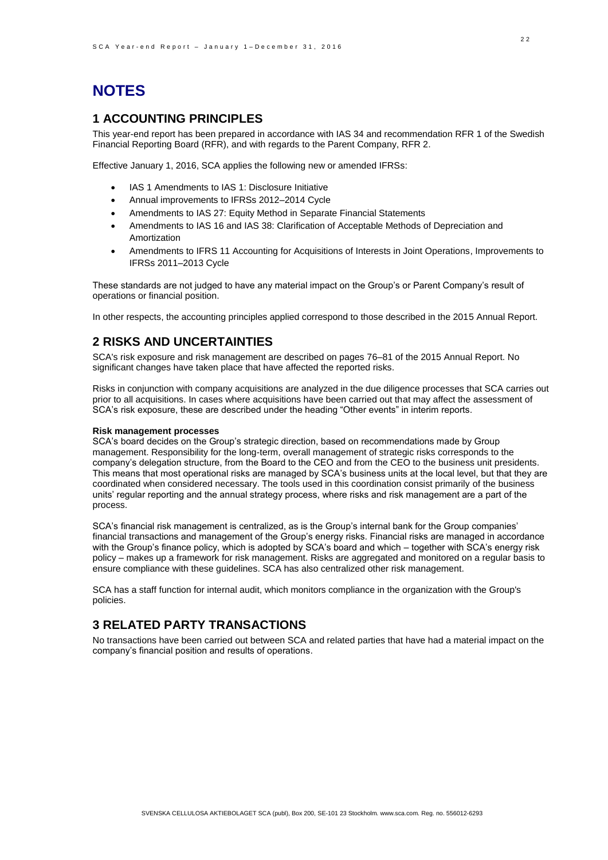# **NOTES**

## **1 ACCOUNTING PRINCIPLES**

This year-end report has been prepared in accordance with IAS 34 and recommendation RFR 1 of the Swedish Financial Reporting Board (RFR), and with regards to the Parent Company, RFR 2.

Effective January 1, 2016, SCA applies the following new or amended IFRSs:

- IAS 1 Amendments to IAS 1: Disclosure Initiative
- Annual improvements to IFRSs 2012–2014 Cycle
- Amendments to IAS 27: Equity Method in Separate Financial Statements
- Amendments to IAS 16 and IAS 38: Clarification of Acceptable Methods of Depreciation and Amortization
- Amendments to IFRS 11 Accounting for Acquisitions of Interests in Joint Operations, Improvements to IFRSs 2011–2013 Cycle

These standards are not judged to have any material impact on the Group's or Parent Company's result of operations or financial position.

In other respects, the accounting principles applied correspond to those described in the 2015 Annual Report.

### **2 RISKS AND UNCERTAINTIES**

SCA's risk exposure and risk management are described on pages 76–81 of the 2015 Annual Report. No significant changes have taken place that have affected the reported risks.

Risks in conjunction with company acquisitions are analyzed in the due diligence processes that SCA carries out prior to all acquisitions. In cases where acquisitions have been carried out that may affect the assessment of SCA's risk exposure, these are described under the heading "Other events" in interim reports.

#### **Risk management processes**

SCA's board decides on the Group's strategic direction, based on recommendations made by Group management. Responsibility for the long-term, overall management of strategic risks corresponds to the company's delegation structure, from the Board to the CEO and from the CEO to the business unit presidents. This means that most operational risks are managed by SCA's business units at the local level, but that they are coordinated when considered necessary. The tools used in this coordination consist primarily of the business units' regular reporting and the annual strategy process, where risks and risk management are a part of the process.

SCA's financial risk management is centralized, as is the Group's internal bank for the Group companies' financial transactions and management of the Group's energy risks. Financial risks are managed in accordance with the Group's finance policy, which is adopted by SCA's board and which – together with SCA's energy risk policy – makes up a framework for risk management. Risks are aggregated and monitored on a regular basis to ensure compliance with these guidelines. SCA has also centralized other risk management.

SCA has a staff function for internal audit, which monitors compliance in the organization with the Group's policies.

## **3 RELATED PARTY TRANSACTIONS**

No transactions have been carried out between SCA and related parties that have had a material impact on the company's financial position and results of operations.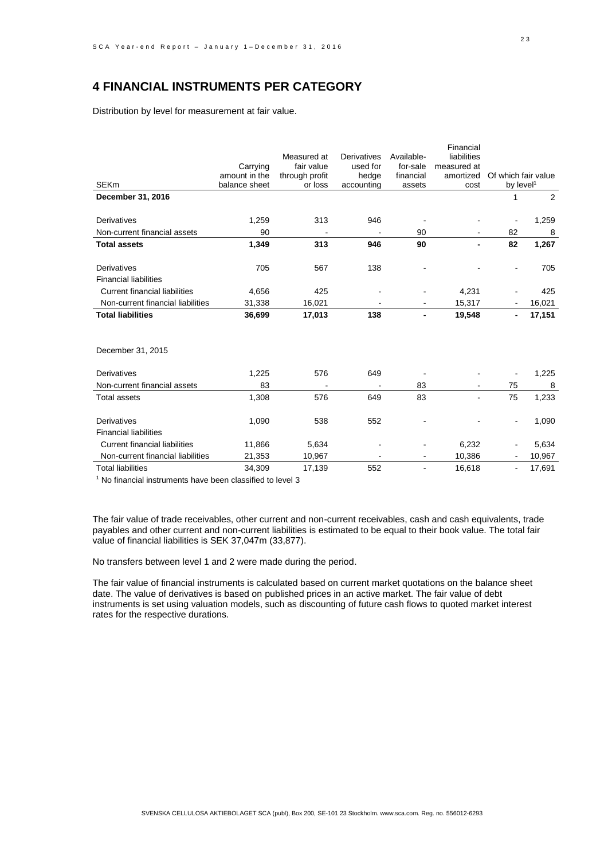## **4 FINANCIAL INSTRUMENTS PER CATEGORY**

Distribution by level for measurement at fair value.

|                                      |               |                |             |            | Financial   |                          |        |
|--------------------------------------|---------------|----------------|-------------|------------|-------------|--------------------------|--------|
|                                      |               | Measured at    | Derivatives | Available- | liabilities |                          |        |
|                                      | Carrying      | fair value     | used for    | for-sale   | measured at |                          |        |
|                                      | amount in the | through profit | hedge       | financial  | amortized   | Of which fair value      |        |
| <b>SEKm</b>                          | balance sheet | or loss        | accounting  | assets     | cost        | by level <sup>1</sup>    |        |
| December 31, 2016                    |               |                |             |            |             | 1                        | 2      |
|                                      |               |                |             |            |             |                          |        |
| Derivatives                          | 1,259         | 313            | 946         |            |             |                          | 1,259  |
| Non-current financial assets         | 90            |                |             | 90         |             | 82                       | 8      |
| <b>Total assets</b>                  | 1,349         | 313            | 946         | 90         |             | 82                       | 1,267  |
| Derivatives                          | 705           | 567            | 138         |            |             |                          | 705    |
| <b>Financial liabilities</b>         |               |                |             |            |             |                          |        |
| <b>Current financial liabilities</b> | 4,656         | 425            |             |            | 4,231       |                          | 425    |
| Non-current financial liabilities    | 31,338        | 16,021         |             |            | 15,317      |                          | 16,021 |
| <b>Total liabilities</b>             | 36,699        | 17,013         | 138         |            | 19,548      |                          | 17,151 |
| December 31, 2015                    |               |                |             |            |             |                          |        |
| <b>Derivatives</b>                   | 1,225         | 576            | 649         |            |             |                          | 1,225  |
| Non-current financial assets         | 83            |                |             | 83         |             | 75                       | 8      |
| <b>Total assets</b>                  | 1,308         | 576            | 649         | 83         |             | 75                       | 1,233  |
| Derivatives                          | 1,090         | 538            | 552         |            |             | $\overline{\phantom{a}}$ | 1,090  |
| <b>Financial liabilities</b>         |               |                |             |            |             |                          |        |
| <b>Current financial liabilities</b> | 11,866        | 5,634          |             |            | 6,232       |                          | 5,634  |
| Non-current financial liabilities    | 21,353        | 10,967         |             |            | 10,386      |                          | 10,967 |
| <b>Total liabilities</b>             | 34.309        | 17,139         | 552         |            | 16,618      |                          | 17,691 |

<sup>1</sup> No financial instruments have been classified to level 3

The fair value of trade receivables, other current and non-current receivables, cash and cash equivalents, trade payables and other current and non-current liabilities is estimated to be equal to their book value. The total fair value of financial liabilities is SEK 37,047m (33,877).

No transfers between level 1 and 2 were made during the period.

The fair value of financial instruments is calculated based on current market quotations on the balance sheet date. The value of derivatives is based on published prices in an active market. The fair value of debt instruments is set using valuation models, such as discounting of future cash flows to quoted market interest rates for the respective durations.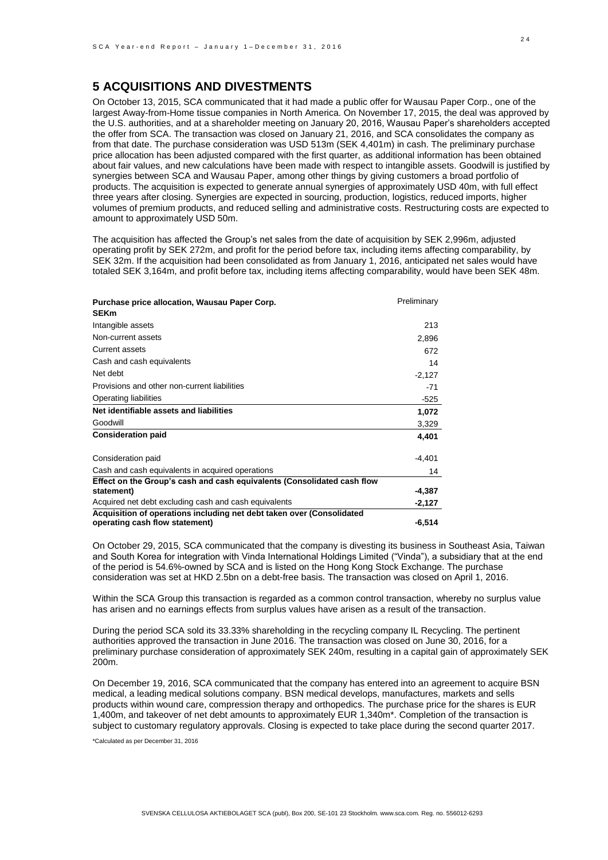## **5 ACQUISITIONS AND DIVESTMENTS**

On October 13, 2015, SCA communicated that it had made a public offer for Wausau Paper Corp., one of the largest Away-from-Home tissue companies in North America. On November 17, 2015, the deal was approved by the U.S. authorities, and at a shareholder meeting on January 20, 2016, Wausau Paper's shareholders accepted the offer from SCA. The transaction was closed on January 21, 2016, and SCA consolidates the company as from that date. The purchase consideration was USD 513m (SEK 4,401m) in cash. The preliminary purchase price allocation has been adjusted compared with the first quarter, as additional information has been obtained about fair values, and new calculations have been made with respect to intangible assets. Goodwill is justified by synergies between SCA and Wausau Paper, among other things by giving customers a broad portfolio of products. The acquisition is expected to generate annual synergies of approximately USD 40m, with full effect three years after closing. Synergies are expected in sourcing, production, logistics, reduced imports, higher volumes of premium products, and reduced selling and administrative costs. Restructuring costs are expected to amount to approximately USD 50m.

The acquisition has affected the Group's net sales from the date of acquisition by SEK 2,996m, adjusted operating profit by SEK 272m, and profit for the period before tax, including items affecting comparability, by SEK 32m. If the acquisition had been consolidated as from January 1, 2016, anticipated net sales would have totaled SEK 3,164m, and profit before tax, including items affecting comparability, would have been SEK 48m.

| Purchase price allocation, Wausau Paper Corp.<br><b>SEKm</b>                                            | Preliminary |
|---------------------------------------------------------------------------------------------------------|-------------|
| Intangible assets                                                                                       | 213         |
| Non-current assets                                                                                      | 2,896       |
| Current assets                                                                                          | 672         |
| Cash and cash equivalents                                                                               | 14          |
| Net debt                                                                                                | $-2,127$    |
| Provisions and other non-current liabilities                                                            | $-71$       |
| Operating liabilities                                                                                   | -525        |
| Net identifiable assets and liabilities                                                                 | 1,072       |
| Goodwill                                                                                                | 3,329       |
| <b>Consideration paid</b>                                                                               | 4.401       |
| Consideration paid                                                                                      | $-4,401$    |
| Cash and cash equivalents in acquired operations                                                        | 14          |
| Effect on the Group's cash and cash equivalents (Consolidated cash flow                                 |             |
| statement)                                                                                              | -4,387      |
| Acquired net debt excluding cash and cash equivalents                                                   | $-2,127$    |
| Acquisition of operations including net debt taken over (Consolidated<br>operating cash flow statement) | $-6,514$    |

On October 29, 2015, SCA communicated that the company is divesting its business in Southeast Asia, Taiwan and South Korea for integration with Vinda International Holdings Limited ("Vinda"), a subsidiary that at the end of the period is 54.6%-owned by SCA and is listed on the Hong Kong Stock Exchange. The purchase consideration was set at HKD 2.5bn on a debt-free basis. The transaction was closed on April 1, 2016.

Within the SCA Group this transaction is regarded as a common control transaction, whereby no surplus value has arisen and no earnings effects from surplus values have arisen as a result of the transaction.

During the period SCA sold its 33.33% shareholding in the recycling company IL Recycling. The pertinent authorities approved the transaction in June 2016. The transaction was closed on June 30, 2016, for a preliminary purchase consideration of approximately SEK 240m, resulting in a capital gain of approximately SEK 200m.

On December 19, 2016, SCA communicated that the company has entered into an agreement to acquire BSN medical, a leading medical solutions company. BSN medical develops, manufactures, markets and sells products within wound care, compression therapy and orthopedics. The purchase price for the shares is EUR 1,400m, and takeover of net debt amounts to approximately EUR 1,340m\*. Completion of the transaction is subject to customary regulatory approvals. Closing is expected to take place during the second quarter 2017.

\*Calculated as per December 31, 2016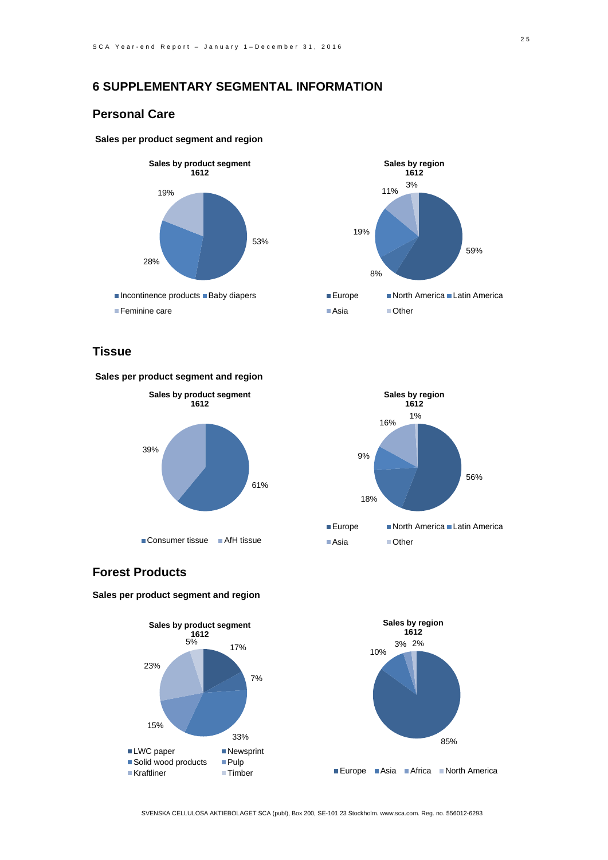## **6 SUPPLEMENTARY SEGMENTAL INFORMATION**

### **Personal Care**

### **Sales per product segment and region**





## **Tissue**





## **Forest Products**

**Sales per product segment and region**



SVENSKA CELLULOSA AKTIEBOLAGET SCA (publ), Box 200, SE-101 23 Stockholm. www.sca.com. Reg. no. 556012-6293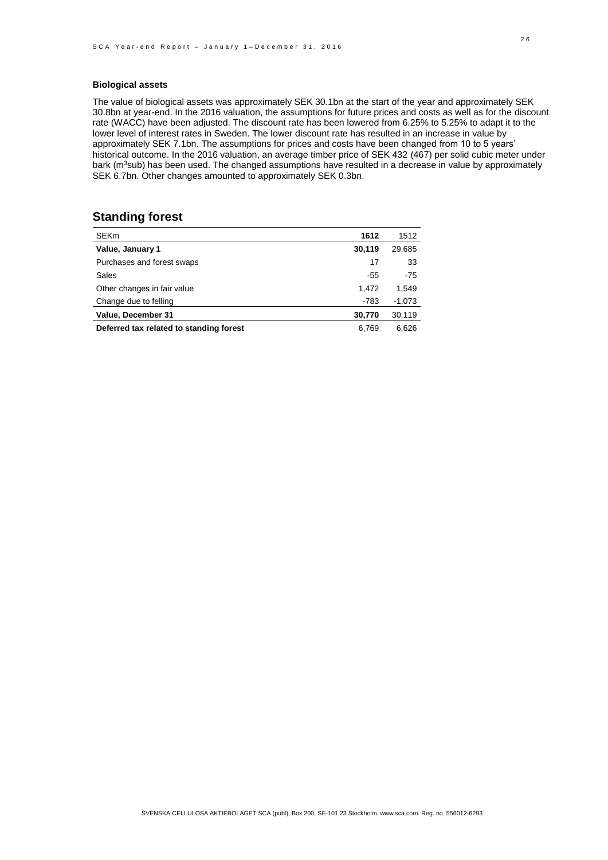### **Biological assets**

The value of biological assets was approximately SEK 30.1bn at the start of the year and approximately SEK 30.8bn at year-end. In the 2016 valuation, the assumptions for future prices and costs as well as for the discount rate (WACC) have been adjusted. The discount rate has been lowered from 6.25% to 5.25% to adapt it to the lower level of interest rates in Sweden. The lower discount rate has resulted in an increase in value by approximately SEK 7.1bn. The assumptions for prices and costs have been changed from 10 to 5 years' historical outcome. In the 2016 valuation, an average timber price of SEK 432 (467) per solid cubic meter under bark (m<sup>3</sup>sub) has been used. The changed assumptions have resulted in a decrease in value by approximately SEK 6.7bn. Other changes amounted to approximately SEK 0.3bn.

### **Standing forest**

| <b>SEKm</b>                             | 1612   | 1512     |
|-----------------------------------------|--------|----------|
| Value, January 1                        | 30,119 | 29,685   |
| Purchases and forest swaps              | 17     | 33       |
| Sales                                   | -55    | $-75$    |
| Other changes in fair value             | 1.472  | 1,549    |
| Change due to felling                   | -783   | $-1,073$ |
| Value, December 31                      | 30,770 | 30,119   |
| Deferred tax related to standing forest | 6.769  | 6.626    |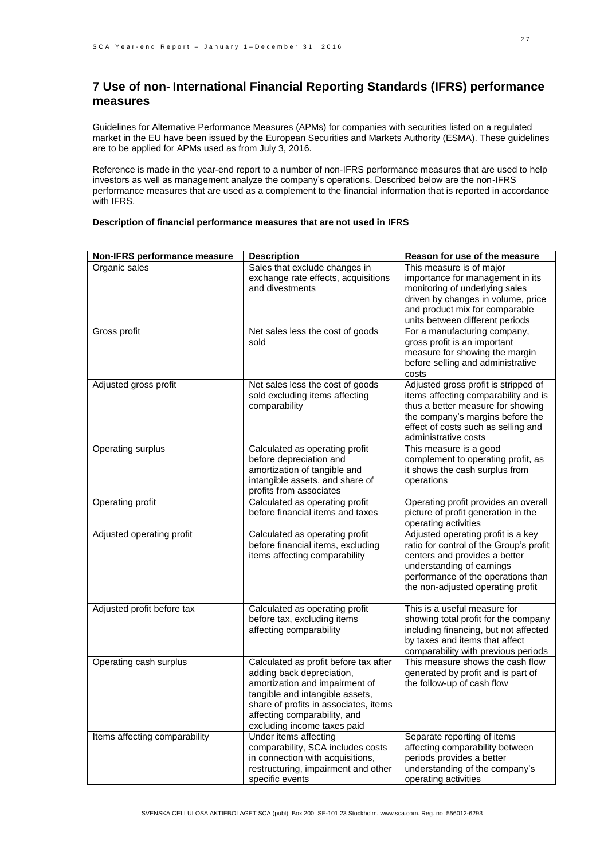## **7 Use of non- International Financial Reporting Standards (IFRS) performance measures**

Guidelines for Alternative Performance Measures (APMs) for companies with securities listed on a regulated market in the EU have been issued by the European Securities and Markets Authority (ESMA). These guidelines are to be applied for APMs used as from July 3, 2016.

Reference is made in the year-end report to a number of non-IFRS performance measures that are used to help investors as well as management analyze the company's operations. Described below are the non-IFRS performance measures that are used as a complement to the financial information that is reported in accordance with IFRS.

| Non-IFRS performance measure  | <b>Description</b>                                                                                                                                                                                                                              | Reason for use of the measure                                                                                                                                                                                          |
|-------------------------------|-------------------------------------------------------------------------------------------------------------------------------------------------------------------------------------------------------------------------------------------------|------------------------------------------------------------------------------------------------------------------------------------------------------------------------------------------------------------------------|
| Organic sales                 | Sales that exclude changes in                                                                                                                                                                                                                   | This measure is of major                                                                                                                                                                                               |
|                               | exchange rate effects, acquisitions<br>and divestments                                                                                                                                                                                          | importance for management in its<br>monitoring of underlying sales<br>driven by changes in volume, price<br>and product mix for comparable<br>units between different periods                                          |
| Gross profit                  | Net sales less the cost of goods<br>sold                                                                                                                                                                                                        | For a manufacturing company,<br>gross profit is an important<br>measure for showing the margin<br>before selling and administrative<br>costs                                                                           |
| Adjusted gross profit         | Net sales less the cost of goods<br>sold excluding items affecting<br>comparability                                                                                                                                                             | Adjusted gross profit is stripped of<br>items affecting comparability and is<br>thus a better measure for showing<br>the company's margins before the<br>effect of costs such as selling and<br>administrative costs   |
| Operating surplus             | Calculated as operating profit<br>before depreciation and<br>amortization of tangible and<br>intangible assets, and share of<br>profits from associates                                                                                         | This measure is a good<br>complement to operating profit, as<br>it shows the cash surplus from<br>operations                                                                                                           |
| Operating profit              | Calculated as operating profit<br>before financial items and taxes                                                                                                                                                                              | Operating profit provides an overall<br>picture of profit generation in the<br>operating activities                                                                                                                    |
| Adjusted operating profit     | Calculated as operating profit<br>before financial items, excluding<br>items affecting comparability                                                                                                                                            | Adjusted operating profit is a key<br>ratio for control of the Group's profit<br>centers and provides a better<br>understanding of earnings<br>performance of the operations than<br>the non-adjusted operating profit |
| Adjusted profit before tax    | Calculated as operating profit<br>before tax, excluding items<br>affecting comparability                                                                                                                                                        | This is a useful measure for<br>showing total profit for the company<br>including financing, but not affected<br>by taxes and items that affect<br>comparability with previous periods                                 |
| Operating cash surplus        | Calculated as profit before tax after<br>adding back depreciation,<br>amortization and impairment of<br>tangible and intangible assets,<br>share of profits in associates, items<br>affecting comparability, and<br>excluding income taxes paid | This measure shows the cash flow<br>generated by profit and is part of<br>the follow-up of cash flow                                                                                                                   |
| Items affecting comparability | Under items affecting<br>comparability, SCA includes costs<br>in connection with acquisitions,<br>restructuring, impairment and other<br>specific events                                                                                        | Separate reporting of items<br>affecting comparability between<br>periods provides a better<br>understanding of the company's<br>operating activities                                                                  |

#### **Description of financial performance measures that are not used in IFRS**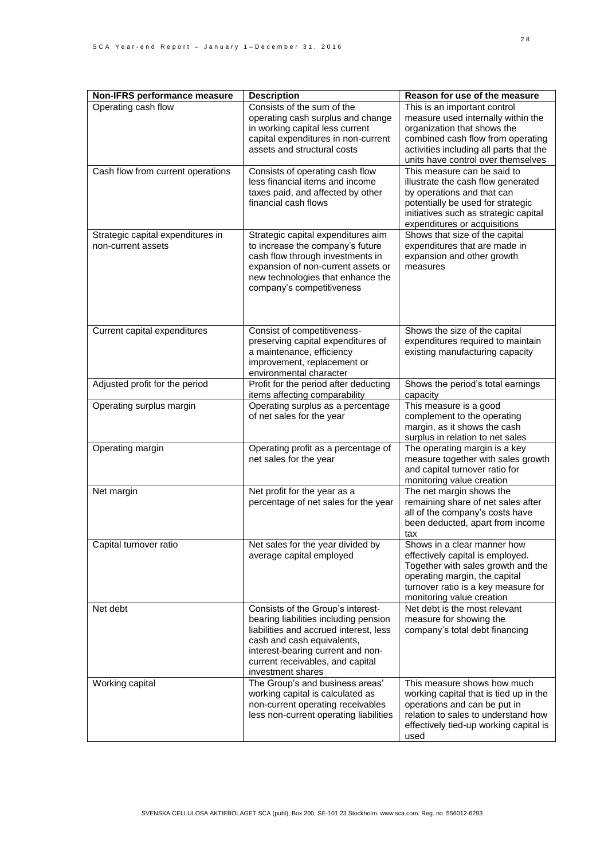| Non-IFRS performance measure                            | <b>Description</b>                                                                                                                                                                                                                               | Reason for use of the measure                                                                                                                                                                                           |
|---------------------------------------------------------|--------------------------------------------------------------------------------------------------------------------------------------------------------------------------------------------------------------------------------------------------|-------------------------------------------------------------------------------------------------------------------------------------------------------------------------------------------------------------------------|
| Operating cash flow                                     | Consists of the sum of the<br>operating cash surplus and change<br>in working capital less current<br>capital expenditures in non-current<br>assets and structural costs                                                                         | This is an important control<br>measure used internally within the<br>organization that shows the<br>combined cash flow from operating<br>activities including all parts that the<br>units have control over themselves |
| Cash flow from current operations                       | Consists of operating cash flow<br>less financial items and income<br>taxes paid, and affected by other<br>financial cash flows                                                                                                                  | This measure can be said to<br>illustrate the cash flow generated<br>by operations and that can<br>potentially be used for strategic<br>initiatives such as strategic capital<br>expenditures or acquisitions           |
| Strategic capital expenditures in<br>non-current assets | Strategic capital expenditures aim<br>to increase the company's future<br>cash flow through investments in<br>expansion of non-current assets or<br>new technologies that enhance the<br>company's competitiveness                               | Shows that size of the capital<br>expenditures that are made in<br>expansion and other growth<br>measures                                                                                                               |
| Current capital expenditures                            | Consist of competitiveness-<br>preserving capital expenditures of<br>a maintenance, efficiency<br>improvement, replacement or<br>environmental character                                                                                         | Shows the size of the capital<br>expenditures required to maintain<br>existing manufacturing capacity                                                                                                                   |
| Adjusted profit for the period                          | Profit for the period after deducting<br>items affecting comparability                                                                                                                                                                           | Shows the period's total earnings<br>capacity                                                                                                                                                                           |
| Operating surplus margin                                | Operating surplus as a percentage<br>of net sales for the year                                                                                                                                                                                   | This measure is a good<br>complement to the operating<br>margin, as it shows the cash<br>surplus in relation to net sales                                                                                               |
| Operating margin                                        | Operating profit as a percentage of<br>net sales for the year                                                                                                                                                                                    | The operating margin is a key<br>measure together with sales growth<br>and capital turnover ratio for<br>monitoring value creation                                                                                      |
| Net margin                                              | Net profit for the year as a<br>percentage of net sales for the year                                                                                                                                                                             | The net margin shows the<br>remaining share of net sales after<br>all of the company's costs have<br>been deducted, apart from income<br>tax                                                                            |
| Capital turnover ratio                                  | Net sales for the year divided by<br>average capital employed                                                                                                                                                                                    | Shows in a clear manner how<br>effectively capital is employed.<br>Together with sales growth and the<br>operating margin, the capital<br>turnover ratio is a key measure for<br>monitoring value creation              |
| Net debt                                                | Consists of the Group's interest-<br>bearing liabilities including pension<br>liabilities and accrued interest, less<br>cash and cash equivalents,<br>interest-bearing current and non-<br>current receivables, and capital<br>investment shares | Net debt is the most relevant<br>measure for showing the<br>company's total debt financing                                                                                                                              |
| Working capital                                         | The Group's and business areas'<br>working capital is calculated as<br>non-current operating receivables<br>less non-current operating liabilities                                                                                               | This measure shows how much<br>working capital that is tied up in the<br>operations and can be put in<br>relation to sales to understand how<br>effectively tied-up working capital is<br>used                          |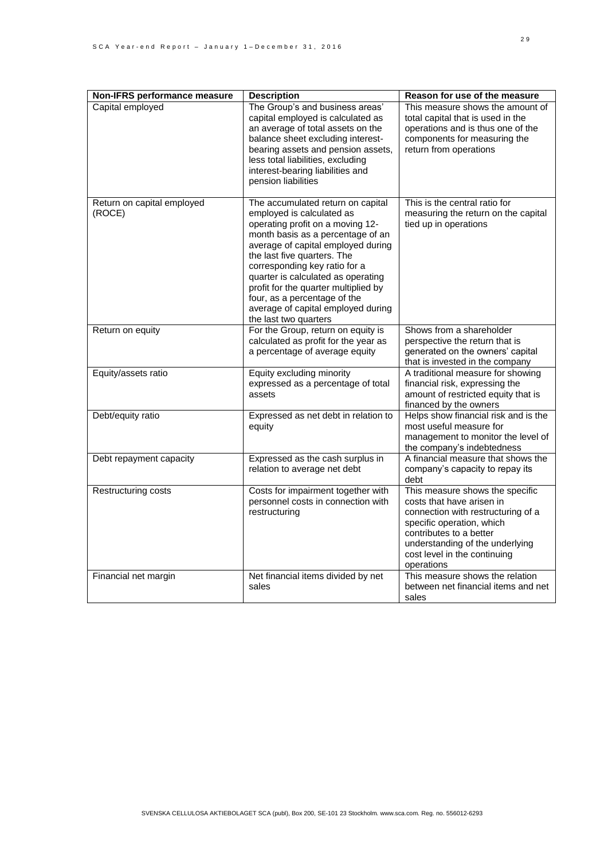| Non-IFRS performance measure         | <b>Description</b>                                                                                                                                                                                                                                                                                                                                                                                                         | Reason for use of the measure                                                                                                                                                                                                               |
|--------------------------------------|----------------------------------------------------------------------------------------------------------------------------------------------------------------------------------------------------------------------------------------------------------------------------------------------------------------------------------------------------------------------------------------------------------------------------|---------------------------------------------------------------------------------------------------------------------------------------------------------------------------------------------------------------------------------------------|
| Capital employed                     | The Group's and business areas'<br>capital employed is calculated as<br>an average of total assets on the<br>balance sheet excluding interest-<br>bearing assets and pension assets,<br>less total liabilities, excluding<br>interest-bearing liabilities and<br>pension liabilities                                                                                                                                       | This measure shows the amount of<br>total capital that is used in the<br>operations and is thus one of the<br>components for measuring the<br>return from operations                                                                        |
| Return on capital employed<br>(ROCE) | The accumulated return on capital<br>employed is calculated as<br>operating profit on a moving 12-<br>month basis as a percentage of an<br>average of capital employed during<br>the last five quarters. The<br>corresponding key ratio for a<br>quarter is calculated as operating<br>profit for the quarter multiplied by<br>four, as a percentage of the<br>average of capital employed during<br>the last two quarters | This is the central ratio for<br>measuring the return on the capital<br>tied up in operations                                                                                                                                               |
| Return on equity                     | For the Group, return on equity is<br>calculated as profit for the year as<br>a percentage of average equity                                                                                                                                                                                                                                                                                                               | Shows from a shareholder<br>perspective the return that is<br>generated on the owners' capital<br>that is invested in the company                                                                                                           |
| Equity/assets ratio                  | Equity excluding minority<br>expressed as a percentage of total<br>assets                                                                                                                                                                                                                                                                                                                                                  | A traditional measure for showing<br>financial risk, expressing the<br>amount of restricted equity that is<br>financed by the owners                                                                                                        |
| Debt/equity ratio                    | Expressed as net debt in relation to<br>equity                                                                                                                                                                                                                                                                                                                                                                             | Helps show financial risk and is the<br>most useful measure for<br>management to monitor the level of<br>the company's indebtedness                                                                                                         |
| Debt repayment capacity              | Expressed as the cash surplus in<br>relation to average net debt                                                                                                                                                                                                                                                                                                                                                           | A financial measure that shows the<br>company's capacity to repay its<br>debt                                                                                                                                                               |
| Restructuring costs                  | Costs for impairment together with<br>personnel costs in connection with<br>restructuring                                                                                                                                                                                                                                                                                                                                  | This measure shows the specific<br>costs that have arisen in<br>connection with restructuring of a<br>specific operation, which<br>contributes to a better<br>understanding of the underlying<br>cost level in the continuing<br>operations |
| Financial net margin                 | Net financial items divided by net<br>sales                                                                                                                                                                                                                                                                                                                                                                                | This measure shows the relation<br>between net financial items and net<br>sales                                                                                                                                                             |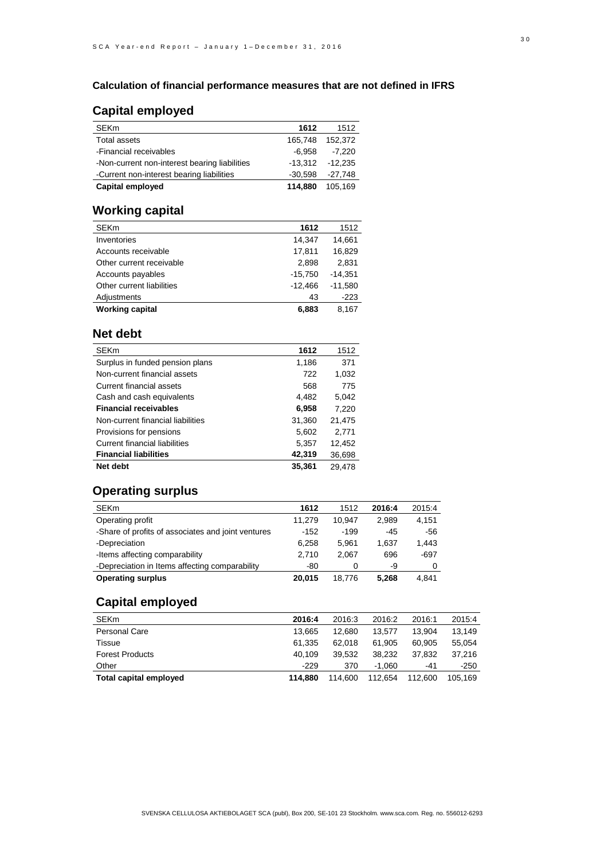### **Calculation of financial performance measures that are not defined in IFRS**

## **Capital employed**

| <b>SEKm</b>                                   | 1612      | 1512    |
|-----------------------------------------------|-----------|---------|
| <b>Total assets</b>                           | 165.748   | 152.372 |
| -Financial receivables                        | -6.958    | -7.220  |
| -Non-current non-interest bearing liabilities | $-13,312$ | -12.235 |
| -Current non-interest bearing liabilities     | $-30.598$ | -27.748 |
| Capital employed                              | 114.880   | 105.169 |

## **Working capital**

| . <u>.</u>                |           |           |
|---------------------------|-----------|-----------|
| <b>SEKm</b>               | 1612      | 1512      |
| Inventories               | 14,347    | 14,661    |
| Accounts receivable       | 17,811    | 16,829    |
| Other current receivable  | 2,898     | 2,831     |
| Accounts payables         | $-15,750$ | $-14,351$ |
| Other current liabilities | $-12,466$ | $-11,580$ |
| Adjustments               | 43        | $-223$    |
| Working capital           | 6,883     | 8.167     |
|                           |           |           |

## **Net debt**

| <b>SEKm</b>                          | 1612   | 1512   |
|--------------------------------------|--------|--------|
| Surplus in funded pension plans      | 1,186  | 371    |
| Non-current financial assets         | 722    | 1,032  |
| Current financial assets             | 568    | 775    |
| Cash and cash equivalents            | 4,482  | 5,042  |
| Financial receivables                | 6,958  | 7,220  |
| Non-current financial liabilities    | 31,360 | 21,475 |
| Provisions for pensions              | 5,602  | 2,771  |
| <b>Current financial liabilities</b> | 5,357  | 12,452 |
| <b>Financial liabilities</b>         | 42,319 | 36,698 |
| Net debt                             | 35.361 | 29.478 |

## **Operating surplus**

| <b>SEKm</b>                                        | 1612   | 1512   | 2016:4 | 2015:4 |
|----------------------------------------------------|--------|--------|--------|--------|
| Operating profit                                   | 11.279 | 10.947 | 2.989  | 4,151  |
| -Share of profits of associates and joint ventures | $-152$ | $-199$ | $-45$  | -56    |
| -Depreciation                                      | 6.258  | 5.961  | 1.637  | 1,443  |
| -Items affecting comparability                     | 2.710  | 2.067  | 696    | $-697$ |
| -Depreciation in Items affecting comparability     | -80    | 0      | -9     |        |
| Operating surplus                                  | 20.015 | 18.776 | 5.268  | 4.841  |

# **Capital employed**

| <b>SEKm</b>            | 2016:4  | 2016:3  | 2016:2   | 2016:1  | 2015:4  |
|------------------------|---------|---------|----------|---------|---------|
| Personal Care          | 13.665  | 12.680  | 13.577   | 13.904  | 13.149  |
| Tissue                 | 61.335  | 62.018  | 61.905   | 60.905  | 55.054  |
| <b>Forest Products</b> | 40.109  | 39.532  | 38.232   | 37.832  | 37.216  |
| Other                  | $-229$  | 370     | $-1.060$ | -41     | $-250$  |
| Total capital employed | 114.880 | 114.600 | 112.654  | 112.600 | 105.169 |